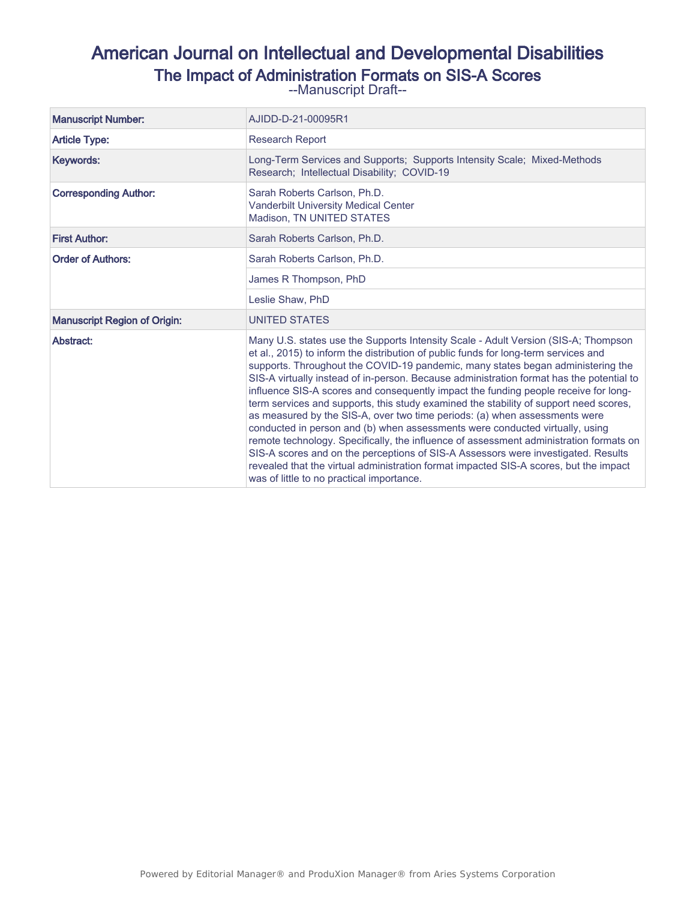# American Journal on Intellectual and Developmental Disabilities The Impact of Administration Formats on SIS-A Scores

--Manuscript Draft--

| <b>Manuscript Number:</b>           | AJIDD-D-21-00095R1                                                                                                                                                                                                                                                                                                                                                                                                                                                                                                                                                                                                                                                                                                                                                                                                                                                                                                                                                                                                          |  |  |
|-------------------------------------|-----------------------------------------------------------------------------------------------------------------------------------------------------------------------------------------------------------------------------------------------------------------------------------------------------------------------------------------------------------------------------------------------------------------------------------------------------------------------------------------------------------------------------------------------------------------------------------------------------------------------------------------------------------------------------------------------------------------------------------------------------------------------------------------------------------------------------------------------------------------------------------------------------------------------------------------------------------------------------------------------------------------------------|--|--|
| <b>Article Type:</b>                | <b>Research Report</b>                                                                                                                                                                                                                                                                                                                                                                                                                                                                                                                                                                                                                                                                                                                                                                                                                                                                                                                                                                                                      |  |  |
| Keywords:                           | Long-Term Services and Supports; Supports Intensity Scale; Mixed-Methods<br>Research; Intellectual Disability; COVID-19                                                                                                                                                                                                                                                                                                                                                                                                                                                                                                                                                                                                                                                                                                                                                                                                                                                                                                     |  |  |
| <b>Corresponding Author:</b>        | Sarah Roberts Carlson, Ph.D.<br><b>Vanderbilt University Medical Center</b><br>Madison, TN UNITED STATES                                                                                                                                                                                                                                                                                                                                                                                                                                                                                                                                                                                                                                                                                                                                                                                                                                                                                                                    |  |  |
| <b>First Author:</b>                | Sarah Roberts Carlson, Ph.D.                                                                                                                                                                                                                                                                                                                                                                                                                                                                                                                                                                                                                                                                                                                                                                                                                                                                                                                                                                                                |  |  |
| <b>Order of Authors:</b>            | Sarah Roberts Carlson, Ph.D.                                                                                                                                                                                                                                                                                                                                                                                                                                                                                                                                                                                                                                                                                                                                                                                                                                                                                                                                                                                                |  |  |
|                                     | James R Thompson, PhD                                                                                                                                                                                                                                                                                                                                                                                                                                                                                                                                                                                                                                                                                                                                                                                                                                                                                                                                                                                                       |  |  |
|                                     | Leslie Shaw, PhD                                                                                                                                                                                                                                                                                                                                                                                                                                                                                                                                                                                                                                                                                                                                                                                                                                                                                                                                                                                                            |  |  |
| <b>Manuscript Region of Origin:</b> | <b>UNITED STATES</b>                                                                                                                                                                                                                                                                                                                                                                                                                                                                                                                                                                                                                                                                                                                                                                                                                                                                                                                                                                                                        |  |  |
| Abstract:                           | Many U.S. states use the Supports Intensity Scale - Adult Version (SIS-A; Thompson<br>et al., 2015) to inform the distribution of public funds for long-term services and<br>supports. Throughout the COVID-19 pandemic, many states began administering the<br>SIS-A virtually instead of in-person. Because administration format has the potential to<br>influence SIS-A scores and consequently impact the funding people receive for long-<br>term services and supports, this study examined the stability of support need scores,<br>as measured by the SIS-A, over two time periods: (a) when assessments were<br>conducted in person and (b) when assessments were conducted virtually, using<br>remote technology. Specifically, the influence of assessment administration formats on<br>SIS-A scores and on the perceptions of SIS-A Assessors were investigated. Results<br>revealed that the virtual administration format impacted SIS-A scores, but the impact<br>was of little to no practical importance. |  |  |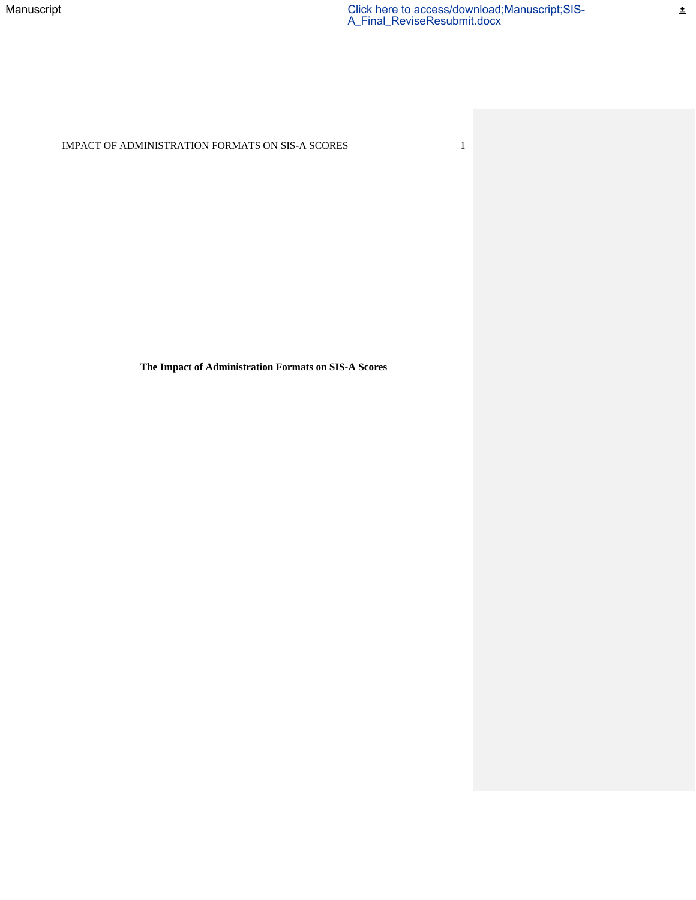**The Impact of Administration Formats on SIS-A Scores**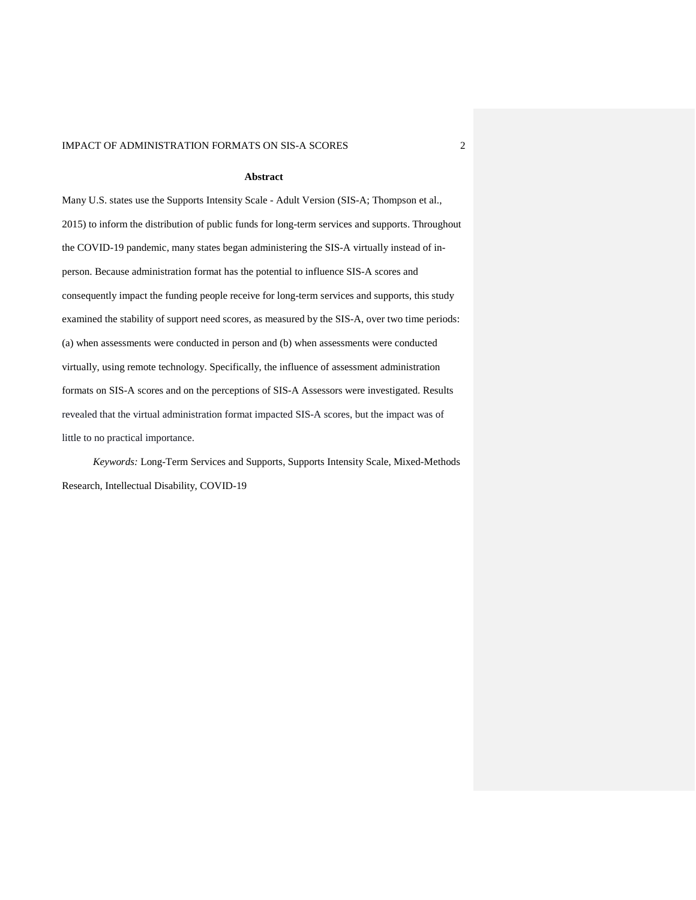#### **Abstract**

Many U.S. states use the Supports Intensity Scale - Adult Version (SIS-A; Thompson et al., 2015) to inform the distribution of public funds for long-term services and supports. Throughout the COVID-19 pandemic, many states began administering the SIS-A virtually instead of inperson. Because administration format has the potential to influence SIS-A scores and consequently impact the funding people receive for long-term services and supports, this study examined the stability of support need scores, as measured by the SIS-A, over two time periods: (a) when assessments were conducted in person and (b) when assessments were conducted virtually, using remote technology. Specifically, the influence of assessment administration formats on SIS-A scores and on the perceptions of SIS-A Assessors were investigated. Results revealed that the virtual administration format impacted SIS-A scores, but the impact was of little to no practical importance.

*Keywords:* Long-Term Services and Supports, Supports Intensity Scale, Mixed-Methods Research, Intellectual Disability, COVID-19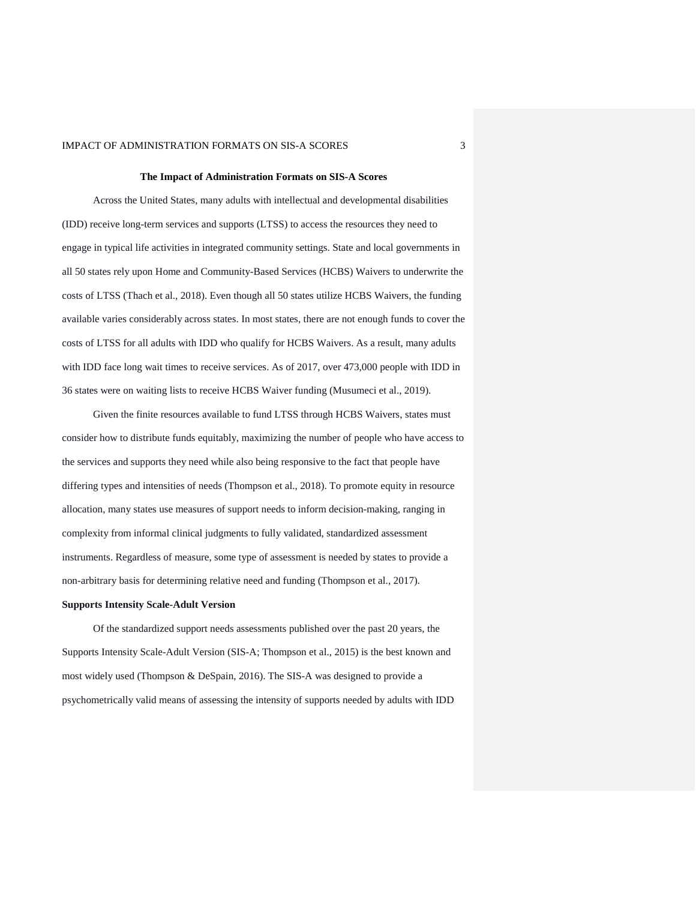#### **The Impact of Administration Formats on SIS-A Scores**

Across the United States, many adults with intellectual and developmental disabilities (IDD) receive long-term services and supports (LTSS) to access the resources they need to engage in typical life activities in integrated community settings. State and local governments in all 50 states rely upon Home and Community-Based Services (HCBS) Waivers to underwrite the costs of LTSS (Thach et al., 2018). Even though all 50 states utilize HCBS Waivers, the funding available varies considerably across states. In most states, there are not enough funds to cover the costs of LTSS for all adults with IDD who qualify for HCBS Waivers. As a result, many adults with IDD face long wait times to receive services. As of 2017, over 473,000 people with IDD in 36 states were on waiting lists to receive HCBS Waiver funding (Musumeci et al., 2019).

Given the finite resources available to fund LTSS through HCBS Waivers, states must consider how to distribute funds equitably, maximizing the number of people who have access to the services and supports they need while also being responsive to the fact that people have differing types and intensities of needs (Thompson et al., 2018). To promote equity in resource allocation, many states use measures of support needs to inform decision-making, ranging in complexity from informal clinical judgments to fully validated, standardized assessment instruments. Regardless of measure, some type of assessment is needed by states to provide a non-arbitrary basis for determining relative need and funding (Thompson et al., 2017).

#### **Supports Intensity Scale-Adult Version**

Of the standardized support needs assessments published over the past 20 years, the Supports Intensity Scale-Adult Version (SIS-A; Thompson et al., 2015) is the best known and most widely used (Thompson & DeSpain, 2016). The SIS-A was designed to provide a psychometrically valid means of assessing the intensity of supports needed by adults with IDD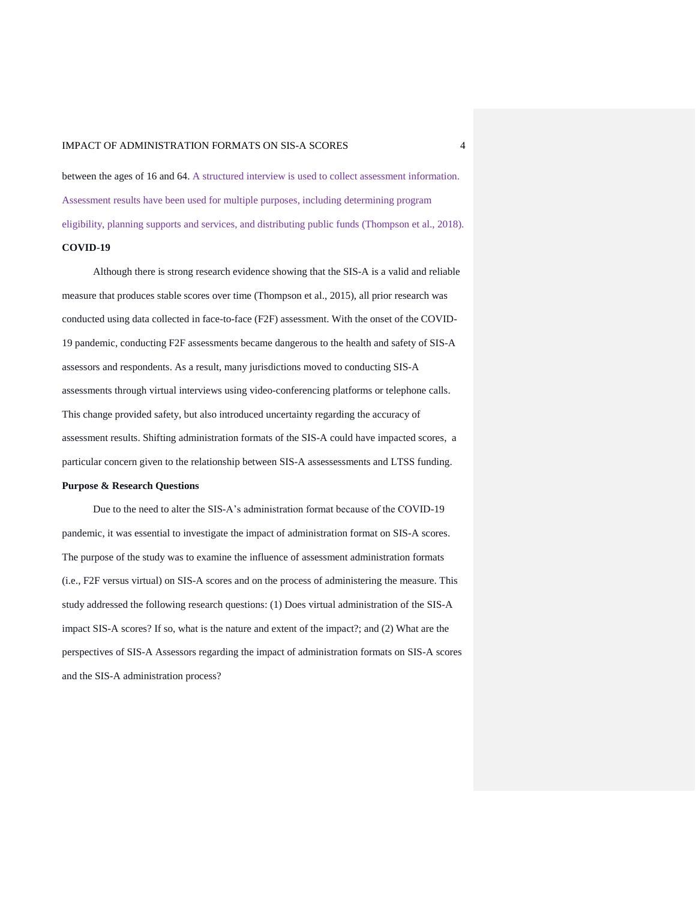between the ages of 16 and 64. A structured interview is used to collect assessment information. Assessment results have been used for multiple purposes, including determining program eligibility, planning supports and services, and distributing public funds (Thompson et al., 2018). **COVID**-**19**

Although there is strong research evidence showing that the SIS-A is a valid and reliable measure that produces stable scores over time (Thompson et al., 2015), all prior research was conducted using data collected in face-to-face (F2F) assessment. With the onset of the COVID-19 pandemic, conducting F2F assessments became dangerous to the health and safety of SIS-A assessors and respondents. As a result, many jurisdictions moved to conducting SIS-A assessments through virtual interviews using video-conferencing platforms or telephone calls. This change provided safety, but also introduced uncertainty regarding the accuracy of assessment results. Shifting administration formats of the SIS-A could have impacted scores, a particular concern given to the relationship between SIS-A assessessments and LTSS funding.

#### **Purpose & Research Questions**

Due to the need to alter the SIS-A's administration format because of the COVID-19 pandemic, it was essential to investigate the impact of administration format on SIS-A scores. The purpose of the study was to examine the influence of assessment administration formats (i.e., F2F versus virtual) on SIS-A scores and on the process of administering the measure. This study addressed the following research questions: (1) Does virtual administration of the SIS-A impact SIS-A scores? If so, what is the nature and extent of the impact?; and (2) What are the perspectives of SIS-A Assessors regarding the impact of administration formats on SIS-A scores and the SIS-A administration process?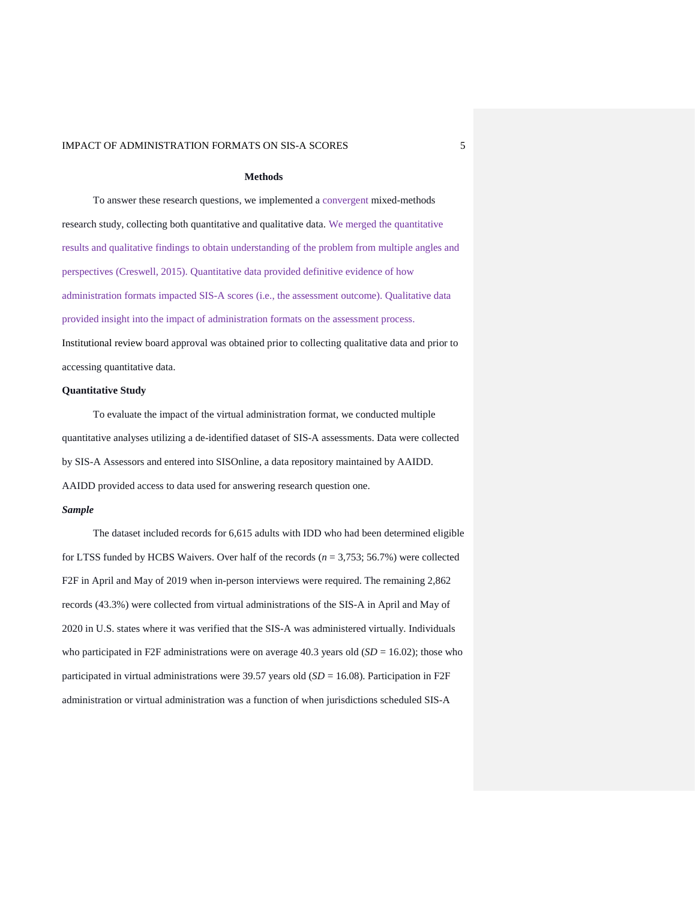#### **Methods**

To answer these research questions, we implemented a convergent mixed-methods research study, collecting both quantitative and qualitative data. We merged the quantitative results and qualitative findings to obtain understanding of the problem from multiple angles and perspectives (Creswell, 2015). Quantitative data provided definitive evidence of how administration formats impacted SIS-A scores (i.e., the assessment outcome). Qualitative data provided insight into the impact of administration formats on the assessment process. Institutional review board approval was obtained prior to collecting qualitative data and prior to accessing quantitative data.

#### **Quantitative Study**

To evaluate the impact of the virtual administration format, we conducted multiple quantitative analyses utilizing a de-identified dataset of SIS-A assessments. Data were collected by SIS-A Assessors and entered into SISOnline, a data repository maintained by AAIDD. AAIDD provided access to data used for answering research question one.

#### *Sample*

The dataset included records for 6,615 adults with IDD who had been determined eligible for LTSS funded by HCBS Waivers. Over half of the records (*n* = 3,753; 56.7%) were collected F2F in April and May of 2019 when in-person interviews were required. The remaining 2,862 records (43.3%) were collected from virtual administrations of the SIS-A in April and May of 2020 in U.S. states where it was verified that the SIS-A was administered virtually. Individuals who participated in F2F administrations were on average  $40.3$  years old  $(SD = 16.02)$ ; those who participated in virtual administrations were 39.57 years old (*SD* = 16.08). Participation in F2F administration or virtual administration was a function of when jurisdictions scheduled SIS-A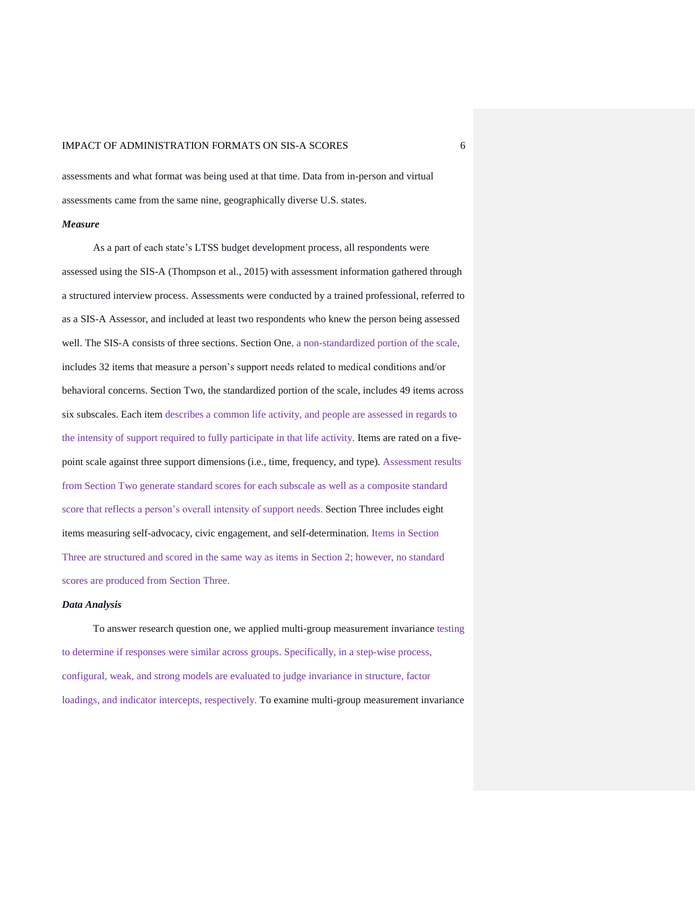assessments and what format was being used at that time. Data from in-person and virtual assessments came from the same nine, geographically diverse U.S. states.

#### *Measure*

As a part of each state's LTSS budget development process, all respondents were assessed using the SIS-A (Thompson et al., 2015) with assessment information gathered through a structured interview process. Assessments were conducted by a trained professional, referred to as a SIS-A Assessor, and included at least two respondents who knew the person being assessed well. The SIS-A consists of three sections. Section One, a non-standardized portion of the scale, includes 32 items that measure a person's support needs related to medical conditions and/or behavioral concerns. Section Two, the standardized portion of the scale, includes 49 items across six subscales. Each item describes a common life activity, and people are assessed in regards to the intensity of support required to fully participate in that life activity. Items are rated on a fivepoint scale against three support dimensions (i.e., time, frequency, and type). Assessment results from Section Two generate standard scores for each subscale as well as a composite standard score that reflects a person's overall intensity of support needs. Section Three includes eight items measuring self-advocacy, civic engagement, and self-determination. Items in Section Three are structured and scored in the same way as items in Section 2; however, no standard scores are produced from Section Three.

#### *Data Analysis*

To answer research question one, we applied multi-group measurement invariance testing to determine if responses were similar across groups. Specifically, in a step-wise process, configural, weak, and strong models are evaluated to judge invariance in structure, factor loadings, and indicator intercepts, respectively. To examine multi-group measurement invariance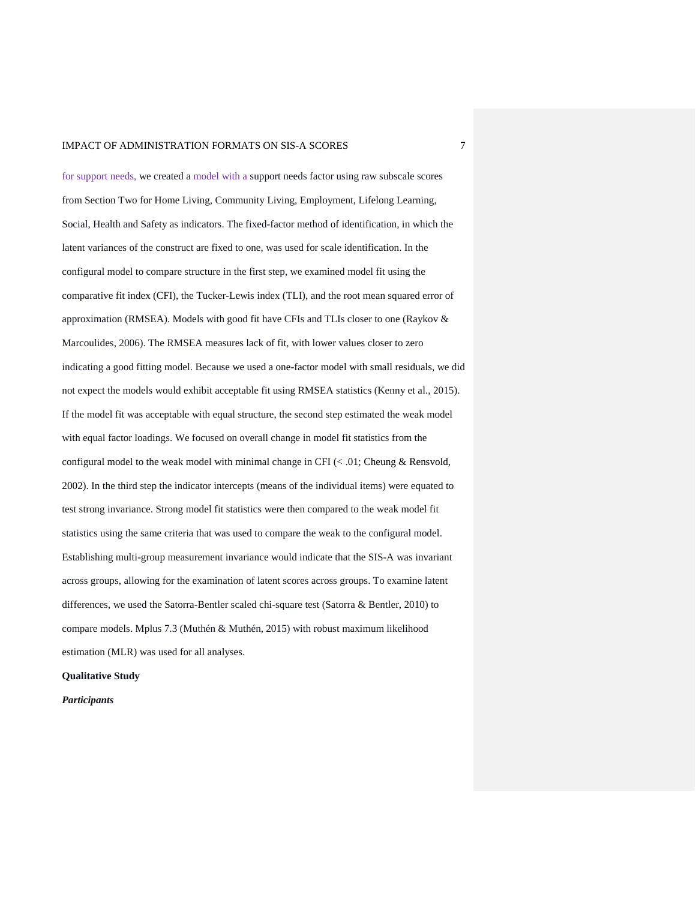for support needs, we created a model with a support needs factor using raw subscale scores from Section Two for Home Living, Community Living, Employment, Lifelong Learning, Social, Health and Safety as indicators. The fixed-factor method of identification, in which the latent variances of the construct are fixed to one, was used for scale identification. In the configural model to compare structure in the first step, we examined model fit using the comparative fit index (CFI), the Tucker-Lewis index (TLI), and the root mean squared error of approximation (RMSEA). Models with good fit have CFIs and TLIs closer to one (Raykov & Marcoulides, 2006). The RMSEA measures lack of fit, with lower values closer to zero indicating a good fitting model. Because we used a one-factor model with small residuals, we did not expect the models would exhibit acceptable fit using RMSEA statistics (Kenny et al., 2015). If the model fit was acceptable with equal structure, the second step estimated the weak model with equal factor loadings. We focused on overall change in model fit statistics from the configural model to the weak model with minimal change in CFI  $(< .01$ ; Cheung & Rensvold, 2002). In the third step the indicator intercepts (means of the individual items) were equated to test strong invariance. Strong model fit statistics were then compared to the weak model fit statistics using the same criteria that was used to compare the weak to the configural model. Establishing multi-group measurement invariance would indicate that the SIS-A was invariant across groups, allowing for the examination of latent scores across groups. To examine latent differences, we used the Satorra-Bentler scaled chi-square test (Satorra & Bentler, 2010) to compare models. Mplus 7.3 (Muthén & Muthén, 2015) with robust maximum likelihood estimation (MLR) was used for all analyses.

## **Qualitative Study**

*Participants*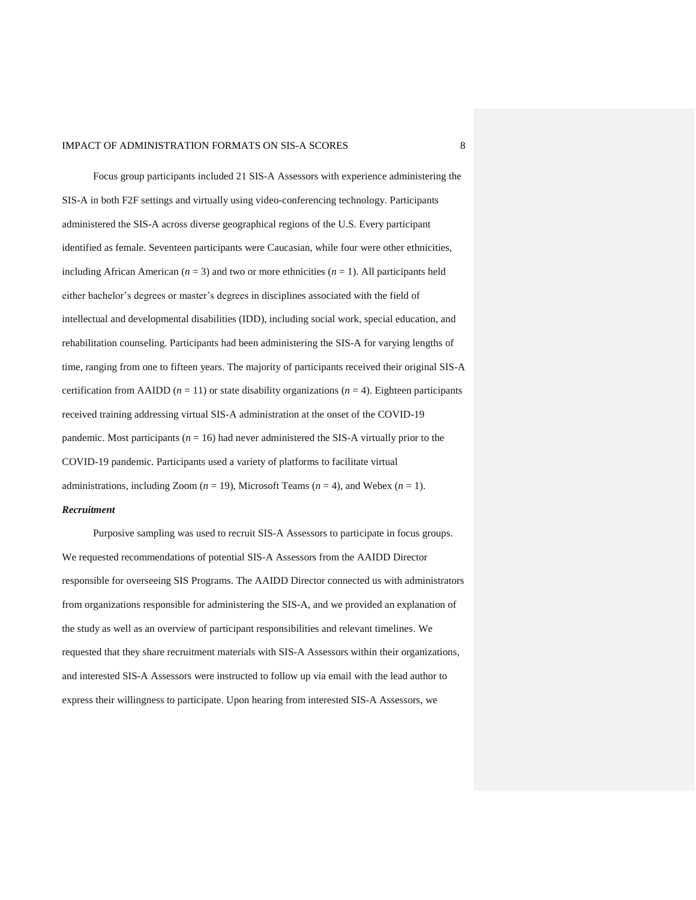Focus group participants included 21 SIS-A Assessors with experience administering the SIS-A in both F2F settings and virtually using video-conferencing technology. Participants administered the SIS-A across diverse geographical regions of the U.S. Every participant identified as female. Seventeen participants were Caucasian, while four were other ethnicities, including African American  $(n = 3)$  and two or more ethnicities  $(n = 1)$ . All participants held either bachelor's degrees or master's degrees in disciplines associated with the field of intellectual and developmental disabilities (IDD), including social work, special education, and rehabilitation counseling. Participants had been administering the SIS-A for varying lengths of time, ranging from one to fifteen years. The majority of participants received their original SIS-A certification from AAIDD ( $n = 11$ ) or state disability organizations ( $n = 4$ ). Eighteen participants received training addressing virtual SIS-A administration at the onset of the COVID-19 pandemic. Most participants ( $n = 16$ ) had never administered the SIS-A virtually prior to the COVID-19 pandemic. Participants used a variety of platforms to facilitate virtual administrations, including Zoom ( $n = 19$ ), Microsoft Teams ( $n = 4$ ), and Webex ( $n = 1$ ).

#### *Recruitment*

Purposive sampling was used to recruit SIS-A Assessors to participate in focus groups. We requested recommendations of potential SIS-A Assessors from the AAIDD Director responsible for overseeing SIS Programs. The AAIDD Director connected us with administrators from organizations responsible for administering the SIS-A, and we provided an explanation of the study as well as an overview of participant responsibilities and relevant timelines. We requested that they share recruitment materials with SIS-A Assessors within their organizations, and interested SIS-A Assessors were instructed to follow up via email with the lead author to express their willingness to participate. Upon hearing from interested SIS-A Assessors, we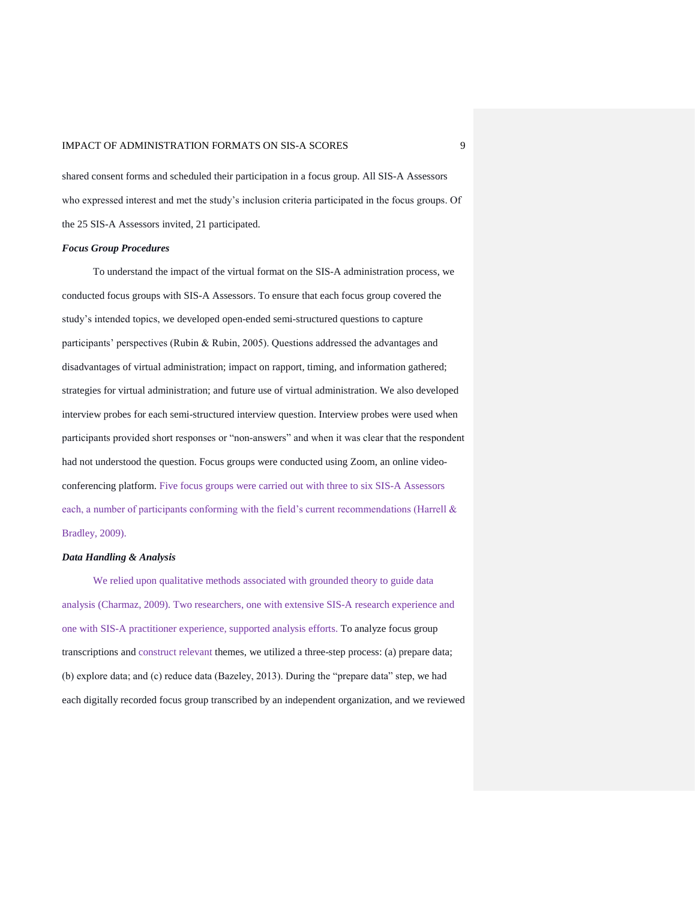shared consent forms and scheduled their participation in a focus group. All SIS-A Assessors who expressed interest and met the study's inclusion criteria participated in the focus groups. Of the 25 SIS-A Assessors invited, 21 participated.

#### *Focus Group Procedures*

To understand the impact of the virtual format on the SIS-A administration process, we conducted focus groups with SIS-A Assessors. To ensure that each focus group covered the study's intended topics, we developed open-ended semi-structured questions to capture participants' perspectives (Rubin & Rubin, 2005). Questions addressed the advantages and disadvantages of virtual administration; impact on rapport, timing, and information gathered; strategies for virtual administration; and future use of virtual administration. We also developed interview probes for each semi-structured interview question. Interview probes were used when participants provided short responses or "non-answers" and when it was clear that the respondent had not understood the question. Focus groups were conducted using Zoom, an online videoconferencing platform. Five focus groups were carried out with three to six SIS-A Assessors each, a number of participants conforming with the field's current recommendations (Harrell  $\&$ Bradley, 2009).

#### *Data Handling & Analysis*

We relied upon qualitative methods associated with grounded theory to guide data analysis (Charmaz, 2009). Two researchers, one with extensive SIS-A research experience and one with SIS-A practitioner experience, supported analysis efforts. To analyze focus group transcriptions and construct relevant themes, we utilized a three-step process: (a) prepare data; (b) explore data; and (c) reduce data (Bazeley, 2013). During the "prepare data" step, we had each digitally recorded focus group transcribed by an independent organization, and we reviewed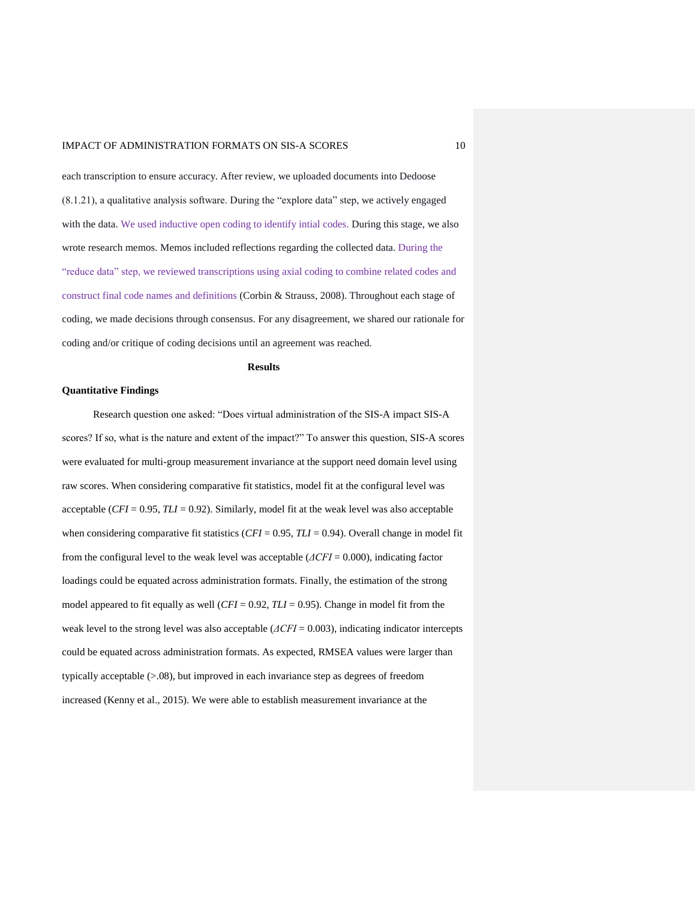each transcription to ensure accuracy. After review, we uploaded documents into Dedoose (8.1.21), a qualitative analysis software. During the "explore data" step, we actively engaged with the data. We used inductive open coding to identify intial codes. During this stage, we also wrote research memos. Memos included reflections regarding the collected data. During the "reduce data" step, we reviewed transcriptions using axial coding to combine related codes and construct final code names and definitions (Corbin & Strauss, 2008). Throughout each stage of coding, we made decisions through consensus. For any disagreement, we shared our rationale for coding and/or critique of coding decisions until an agreement was reached.

#### **Results**

#### **Quantitative Findings**

Research question one asked: "Does virtual administration of the SIS-A impact SIS-A scores? If so, what is the nature and extent of the impact?" To answer this question, SIS-A scores were evaluated for multi-group measurement invariance at the support need domain level using raw scores. When considering comparative fit statistics, model fit at the configural level was acceptable  $(CFI = 0.95, TLI = 0.92)$ . Similarly, model fit at the weak level was also acceptable when considering comparative fit statistics  $(CFI = 0.95, TLI = 0.94)$ . Overall change in model fit from the configural level to the weak level was acceptable (*ΔCFI* = 0.000), indicating factor loadings could be equated across administration formats. Finally, the estimation of the strong model appeared to fit equally as well (*CFI* = 0.92, *TLI* = 0.95). Change in model fit from the weak level to the strong level was also acceptable (*ΔCFI* = 0.003), indicating indicator intercepts could be equated across administration formats. As expected, RMSEA values were larger than typically acceptable (>.08), but improved in each invariance step as degrees of freedom increased (Kenny et al., 2015). We were able to establish measurement invariance at the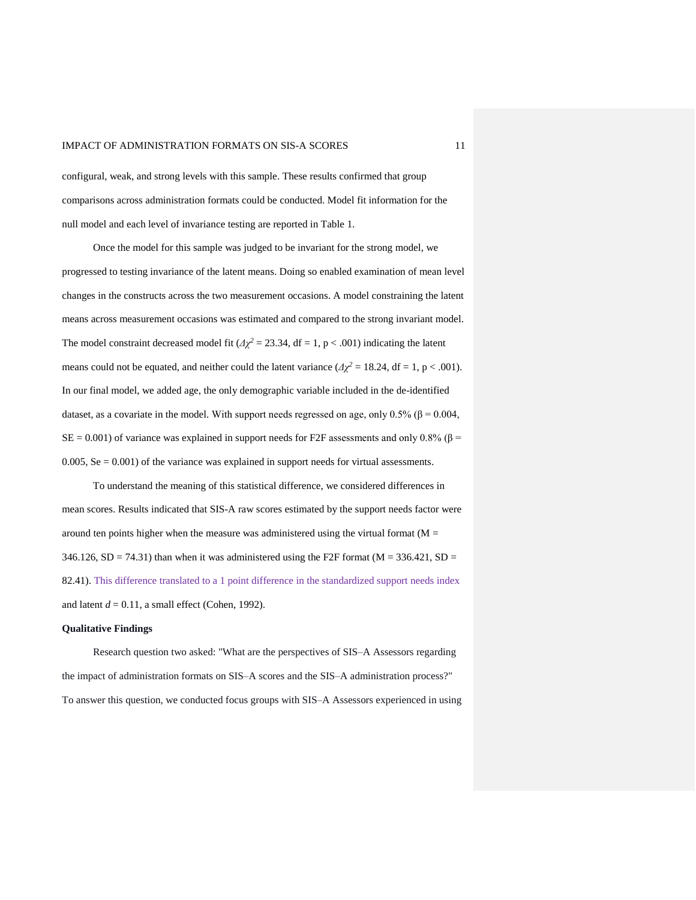configural, weak, and strong levels with this sample. These results confirmed that group comparisons across administration formats could be conducted. Model fit information for the null model and each level of invariance testing are reported in Table 1.

Once the model for this sample was judged to be invariant for the strong model, we progressed to testing invariance of the latent means. Doing so enabled examination of mean level changes in the constructs across the two measurement occasions. A model constraining the latent means across measurement occasions was estimated and compared to the strong invariant model. The model constraint decreased model fit ( $\Delta \chi^2 = 23.34$ , df = 1, p < .001) indicating the latent means could not be equated, and neither could the latent variance ( $\Delta \chi^2 = 18.24$ , df = 1, p < .001). In our final model, we added age, the only demographic variable included in the de-identified dataset, as a covariate in the model. With support needs regressed on age, only 0.5% ( $\beta$  = 0.004, SE = 0.001) of variance was explained in support needs for F2F assessments and only 0.8% ( $\beta$  =  $0.005$ , Se =  $0.001$ ) of the variance was explained in support needs for virtual assessments.

To understand the meaning of this statistical difference, we considered differences in mean scores. Results indicated that SIS-A raw scores estimated by the support needs factor were around ten points higher when the measure was administered using the virtual format  $(M =$ 346.126, SD = 74.31) than when it was administered using the F2F format ( $M = 336.421$ , SD = 82.41). This difference translated to a 1 point difference in the standardized support needs index and latent  $d = 0.11$ , a small effect (Cohen, 1992).

#### **Qualitative Findings**

Research question two asked: "What are the perspectives of SIS–A Assessors regarding the impact of administration formats on SIS–A scores and the SIS–A administration process?" To answer this question, we conducted focus groups with SIS–A Assessors experienced in using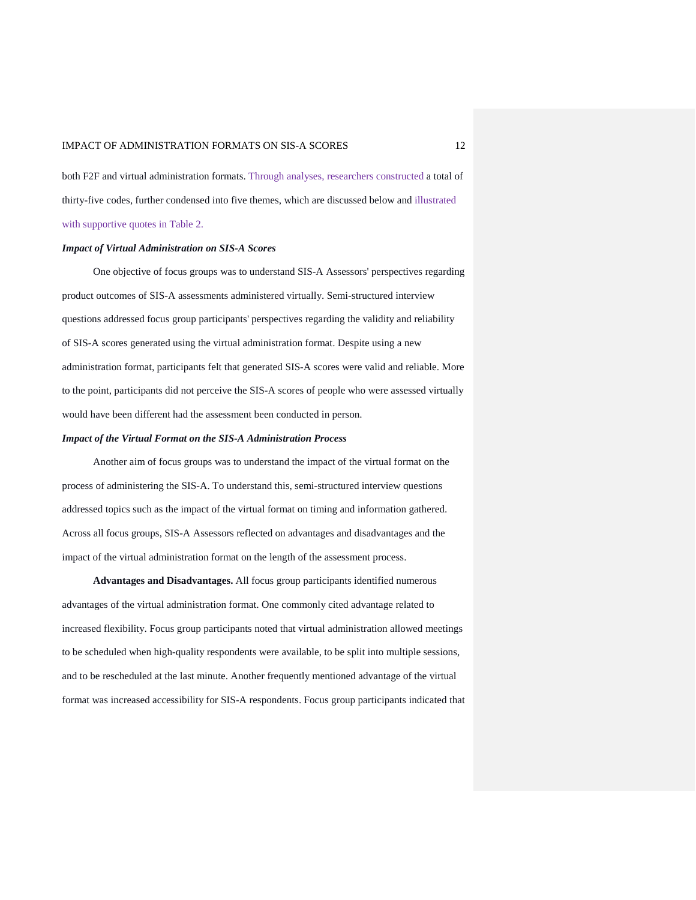both F2F and virtual administration formats. Through analyses, researchers constructed a total of thirty-five codes, further condensed into five themes, which are discussed below and illustrated with supportive quotes in Table 2.

#### *Impact of Virtual Administration on SIS-A Scores*

One objective of focus groups was to understand SIS-A Assessors' perspectives regarding product outcomes of SIS-A assessments administered virtually. Semi-structured interview questions addressed focus group participants' perspectives regarding the validity and reliability of SIS-A scores generated using the virtual administration format. Despite using a new administration format, participants felt that generated SIS-A scores were valid and reliable. More to the point, participants did not perceive the SIS-A scores of people who were assessed virtually would have been different had the assessment been conducted in person.

## *Impact of the Virtual Format on the SIS-A Administration Process*

Another aim of focus groups was to understand the impact of the virtual format on the process of administering the SIS-A. To understand this, semi-structured interview questions addressed topics such as the impact of the virtual format on timing and information gathered. Across all focus groups, SIS-A Assessors reflected on advantages and disadvantages and the impact of the virtual administration format on the length of the assessment process.

**Advantages and Disadvantages.** All focus group participants identified numerous advantages of the virtual administration format. One commonly cited advantage related to increased flexibility. Focus group participants noted that virtual administration allowed meetings to be scheduled when high-quality respondents were available, to be split into multiple sessions, and to be rescheduled at the last minute. Another frequently mentioned advantage of the virtual format was increased accessibility for SIS-A respondents. Focus group participants indicated that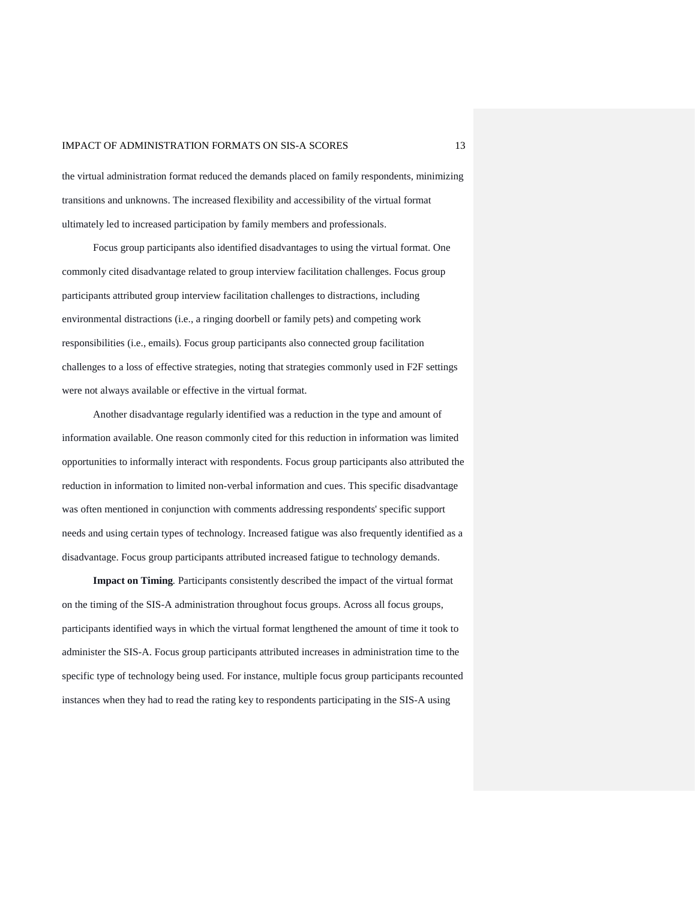the virtual administration format reduced the demands placed on family respondents, minimizing transitions and unknowns. The increased flexibility and accessibility of the virtual format ultimately led to increased participation by family members and professionals.

Focus group participants also identified disadvantages to using the virtual format. One commonly cited disadvantage related to group interview facilitation challenges. Focus group participants attributed group interview facilitation challenges to distractions, including environmental distractions (i.e., a ringing doorbell or family pets) and competing work responsibilities (i.e., emails). Focus group participants also connected group facilitation challenges to a loss of effective strategies, noting that strategies commonly used in F2F settings were not always available or effective in the virtual format.

Another disadvantage regularly identified was a reduction in the type and amount of information available. One reason commonly cited for this reduction in information was limited opportunities to informally interact with respondents. Focus group participants also attributed the reduction in information to limited non-verbal information and cues. This specific disadvantage was often mentioned in conjunction with comments addressing respondents' specific support needs and using certain types of technology. Increased fatigue was also frequently identified as a disadvantage. Focus group participants attributed increased fatigue to technology demands.

**Impact on Timing***.* Participants consistently described the impact of the virtual format on the timing of the SIS-A administration throughout focus groups. Across all focus groups, participants identified ways in which the virtual format lengthened the amount of time it took to administer the SIS-A. Focus group participants attributed increases in administration time to the specific type of technology being used. For instance, multiple focus group participants recounted instances when they had to read the rating key to respondents participating in the SIS-A using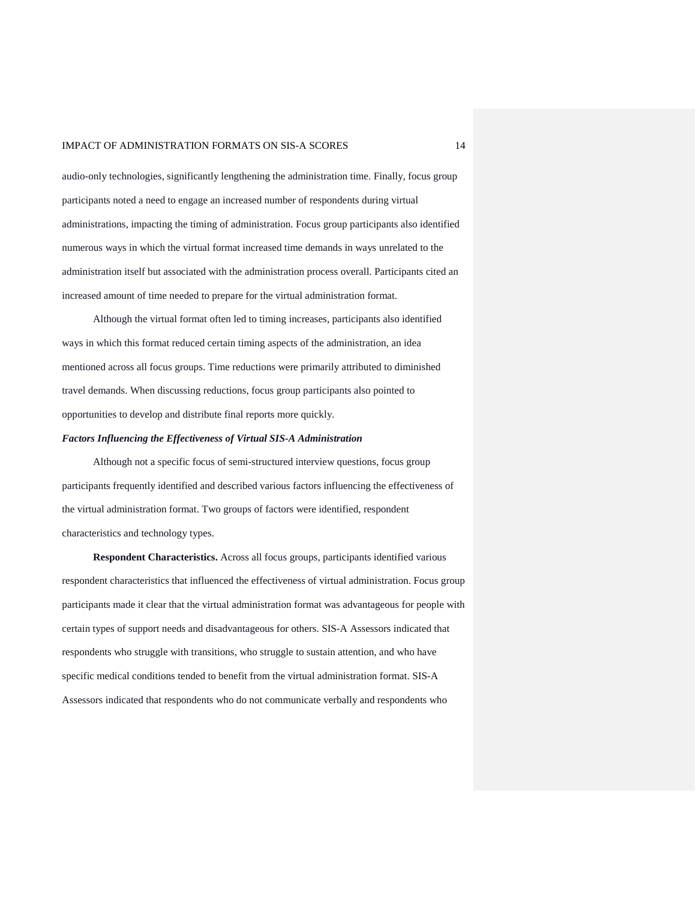audio-only technologies, significantly lengthening the administration time. Finally, focus group participants noted a need to engage an increased number of respondents during virtual administrations, impacting the timing of administration. Focus group participants also identified numerous ways in which the virtual format increased time demands in ways unrelated to the administration itself but associated with the administration process overall. Participants cited an increased amount of time needed to prepare for the virtual administration format.

Although the virtual format often led to timing increases, participants also identified ways in which this format reduced certain timing aspects of the administration, an idea mentioned across all focus groups. Time reductions were primarily attributed to diminished travel demands. When discussing reductions, focus group participants also pointed to opportunities to develop and distribute final reports more quickly.

#### *Factors Influencing the Effectiveness of Virtual SIS-A Administration*

Although not a specific focus of semi-structured interview questions, focus group participants frequently identified and described various factors influencing the effectiveness of the virtual administration format. Two groups of factors were identified, respondent characteristics and technology types.

**Respondent Characteristics.** Across all focus groups, participants identified various respondent characteristics that influenced the effectiveness of virtual administration. Focus group participants made it clear that the virtual administration format was advantageous for people with certain types of support needs and disadvantageous for others. SIS-A Assessors indicated that respondents who struggle with transitions, who struggle to sustain attention, and who have specific medical conditions tended to benefit from the virtual administration format. SIS-A Assessors indicated that respondents who do not communicate verbally and respondents who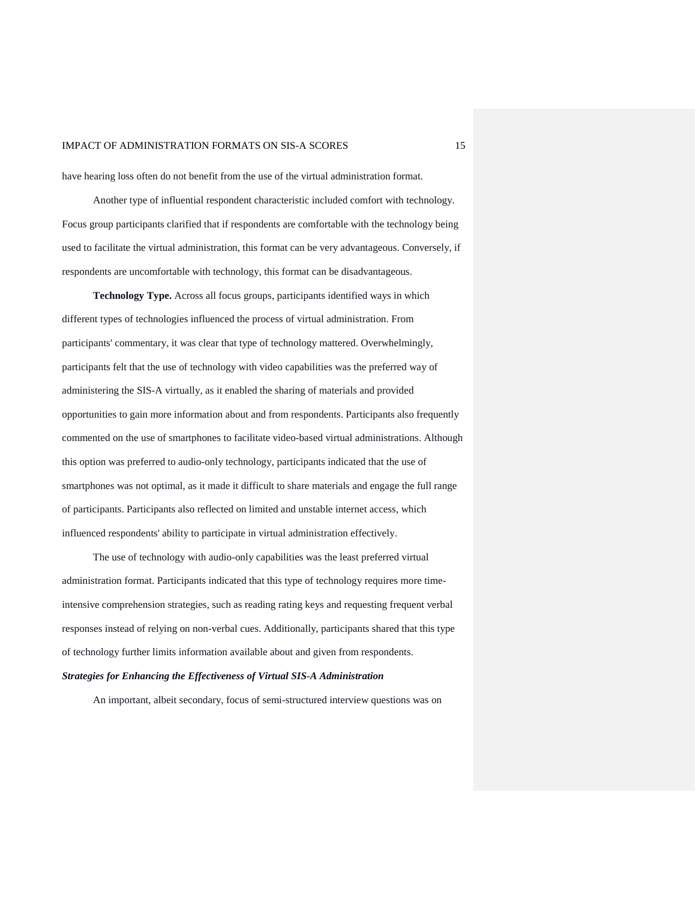have hearing loss often do not benefit from the use of the virtual administration format.

Another type of influential respondent characteristic included comfort with technology. Focus group participants clarified that if respondents are comfortable with the technology being used to facilitate the virtual administration, this format can be very advantageous. Conversely, if respondents are uncomfortable with technology, this format can be disadvantageous.

**Technology Type.** Across all focus groups, participants identified ways in which different types of technologies influenced the process of virtual administration. From participants' commentary, it was clear that type of technology mattered. Overwhelmingly, participants felt that the use of technology with video capabilities was the preferred way of administering the SIS-A virtually, as it enabled the sharing of materials and provided opportunities to gain more information about and from respondents. Participants also frequently commented on the use of smartphones to facilitate video-based virtual administrations. Although this option was preferred to audio-only technology, participants indicated that the use of smartphones was not optimal, as it made it difficult to share materials and engage the full range of participants. Participants also reflected on limited and unstable internet access, which influenced respondents' ability to participate in virtual administration effectively.

The use of technology with audio-only capabilities was the least preferred virtual administration format. Participants indicated that this type of technology requires more timeintensive comprehension strategies, such as reading rating keys and requesting frequent verbal responses instead of relying on non-verbal cues. Additionally, participants shared that this type of technology further limits information available about and given from respondents. *Strategies for Enhancing the Effectiveness of Virtual SIS-A Administration*

An important, albeit secondary, focus of semi-structured interview questions was on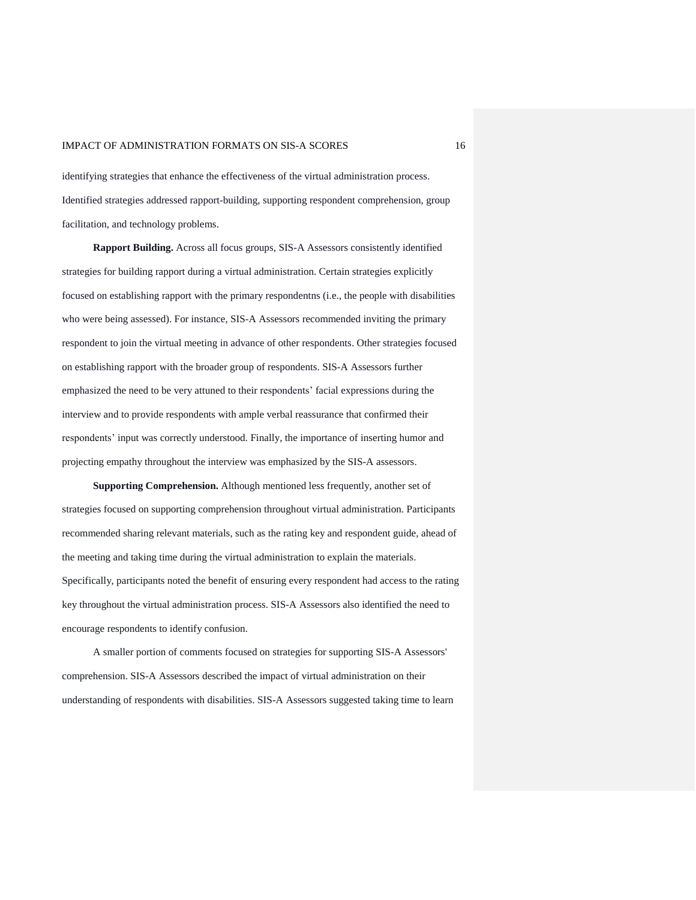identifying strategies that enhance the effectiveness of the virtual administration process. Identified strategies addressed rapport-building, supporting respondent comprehension, group facilitation, and technology problems.

**Rapport Building.** Across all focus groups, SIS-A Assessors consistently identified strategies for building rapport during a virtual administration. Certain strategies explicitly focused on establishing rapport with the primary respondentns (i.e., the people with disabilities who were being assessed). For instance, SIS-A Assessors recommended inviting the primary respondent to join the virtual meeting in advance of other respondents. Other strategies focused on establishing rapport with the broader group of respondents. SIS-A Assessors further emphasized the need to be very attuned to their respondents' facial expressions during the interview and to provide respondents with ample verbal reassurance that confirmed their respondents' input was correctly understood. Finally, the importance of inserting humor and projecting empathy throughout the interview was emphasized by the SIS-A assessors.

**Supporting Comprehension.** Although mentioned less frequently, another set of strategies focused on supporting comprehension throughout virtual administration. Participants recommended sharing relevant materials, such as the rating key and respondent guide, ahead of the meeting and taking time during the virtual administration to explain the materials. Specifically, participants noted the benefit of ensuring every respondent had access to the rating key throughout the virtual administration process. SIS-A Assessors also identified the need to encourage respondents to identify confusion.

A smaller portion of comments focused on strategies for supporting SIS-A Assessors' comprehension. SIS-A Assessors described the impact of virtual administration on their understanding of respondents with disabilities. SIS-A Assessors suggested taking time to learn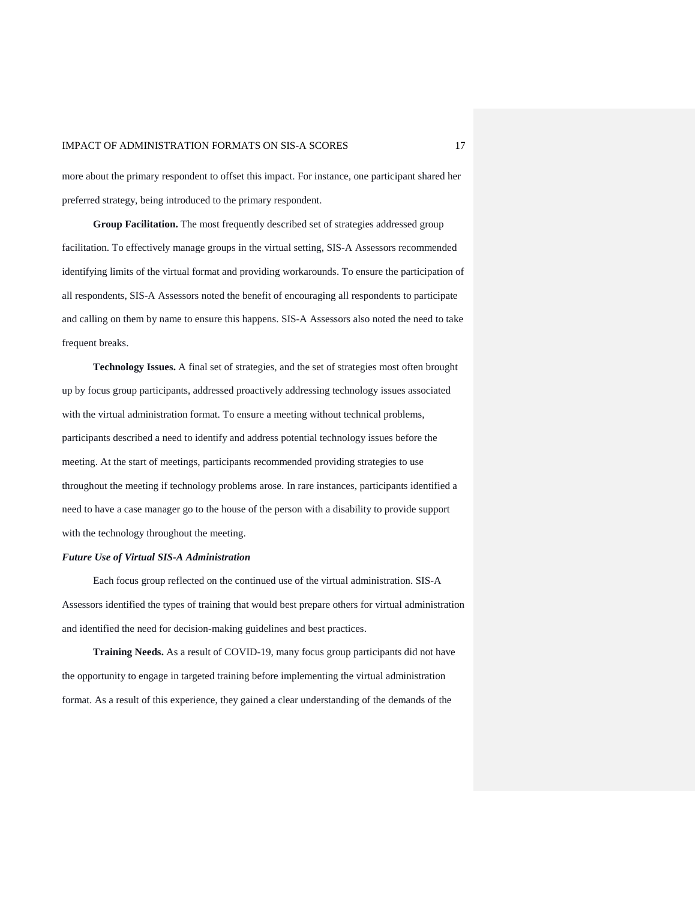more about the primary respondent to offset this impact. For instance, one participant shared her preferred strategy, being introduced to the primary respondent.

**Group Facilitation.** The most frequently described set of strategies addressed group facilitation. To effectively manage groups in the virtual setting, SIS-A Assessors recommended identifying limits of the virtual format and providing workarounds. To ensure the participation of all respondents, SIS-A Assessors noted the benefit of encouraging all respondents to participate and calling on them by name to ensure this happens. SIS-A Assessors also noted the need to take frequent breaks.

**Technology Issues.** A final set of strategies, and the set of strategies most often brought up by focus group participants, addressed proactively addressing technology issues associated with the virtual administration format. To ensure a meeting without technical problems, participants described a need to identify and address potential technology issues before the meeting. At the start of meetings, participants recommended providing strategies to use throughout the meeting if technology problems arose. In rare instances, participants identified a need to have a case manager go to the house of the person with a disability to provide support with the technology throughout the meeting.

## *Future Use of Virtual SIS-A Administration*

Each focus group reflected on the continued use of the virtual administration. SIS-A Assessors identified the types of training that would best prepare others for virtual administration and identified the need for decision-making guidelines and best practices.

**Training Needs.** As a result of COVID-19, many focus group participants did not have the opportunity to engage in targeted training before implementing the virtual administration format. As a result of this experience, they gained a clear understanding of the demands of the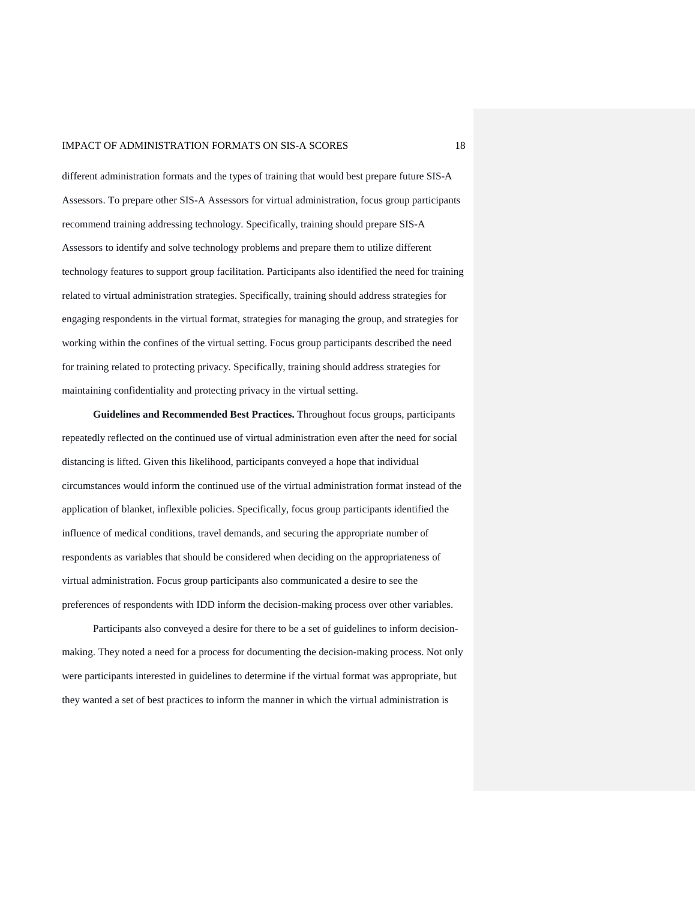different administration formats and the types of training that would best prepare future SIS-A Assessors. To prepare other SIS-A Assessors for virtual administration, focus group participants recommend training addressing technology. Specifically, training should prepare SIS-A Assessors to identify and solve technology problems and prepare them to utilize different technology features to support group facilitation. Participants also identified the need for training related to virtual administration strategies. Specifically, training should address strategies for engaging respondents in the virtual format, strategies for managing the group, and strategies for working within the confines of the virtual setting. Focus group participants described the need for training related to protecting privacy. Specifically, training should address strategies for maintaining confidentiality and protecting privacy in the virtual setting.

**Guidelines and Recommended Best Practices.** Throughout focus groups, participants repeatedly reflected on the continued use of virtual administration even after the need for social distancing is lifted. Given this likelihood, participants conveyed a hope that individual circumstances would inform the continued use of the virtual administration format instead of the application of blanket, inflexible policies. Specifically, focus group participants identified the influence of medical conditions, travel demands, and securing the appropriate number of respondents as variables that should be considered when deciding on the appropriateness of virtual administration. Focus group participants also communicated a desire to see the preferences of respondents with IDD inform the decision-making process over other variables.

Participants also conveyed a desire for there to be a set of guidelines to inform decisionmaking. They noted a need for a process for documenting the decision-making process. Not only were participants interested in guidelines to determine if the virtual format was appropriate, but they wanted a set of best practices to inform the manner in which the virtual administration is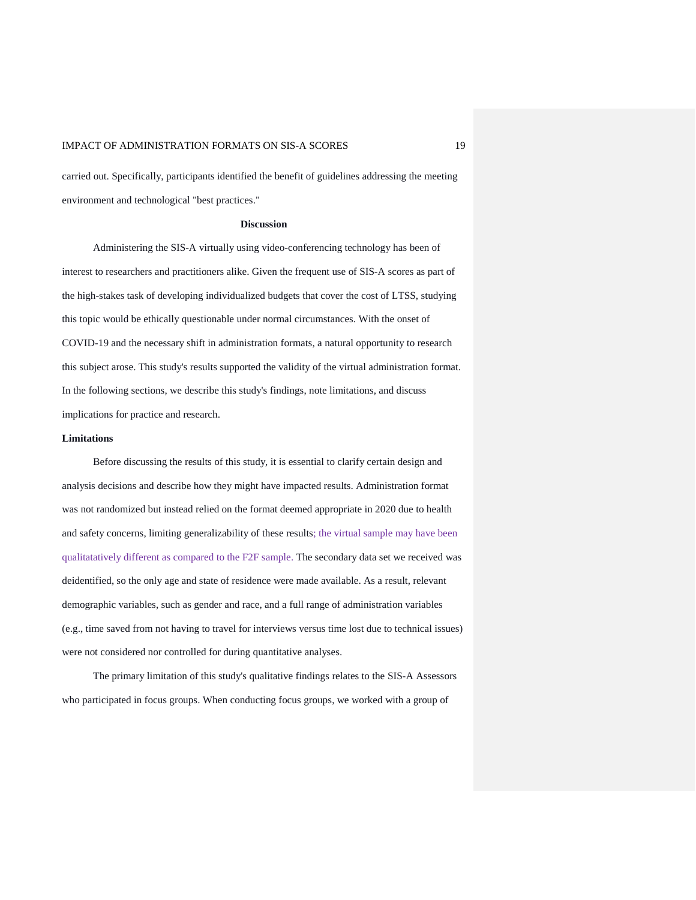carried out. Specifically, participants identified the benefit of guidelines addressing the meeting environment and technological "best practices."

## **Discussion**

Administering the SIS-A virtually using video-conferencing technology has been of interest to researchers and practitioners alike. Given the frequent use of SIS-A scores as part of the high-stakes task of developing individualized budgets that cover the cost of LTSS, studying this topic would be ethically questionable under normal circumstances. With the onset of COVID-19 and the necessary shift in administration formats, a natural opportunity to research this subject arose. This study's results supported the validity of the virtual administration format. In the following sections, we describe this study's findings, note limitations, and discuss implications for practice and research.

#### **Limitations**

Before discussing the results of this study, it is essential to clarify certain design and analysis decisions and describe how they might have impacted results. Administration format was not randomized but instead relied on the format deemed appropriate in 2020 due to health and safety concerns, limiting generalizability of these results; the virtual sample may have been qualitatatively different as compared to the F2F sample. The secondary data set we received was deidentified, so the only age and state of residence were made available. As a result, relevant demographic variables, such as gender and race, and a full range of administration variables (e.g., time saved from not having to travel for interviews versus time lost due to technical issues) were not considered nor controlled for during quantitative analyses.

The primary limitation of this study's qualitative findings relates to the SIS-A Assessors who participated in focus groups. When conducting focus groups, we worked with a group of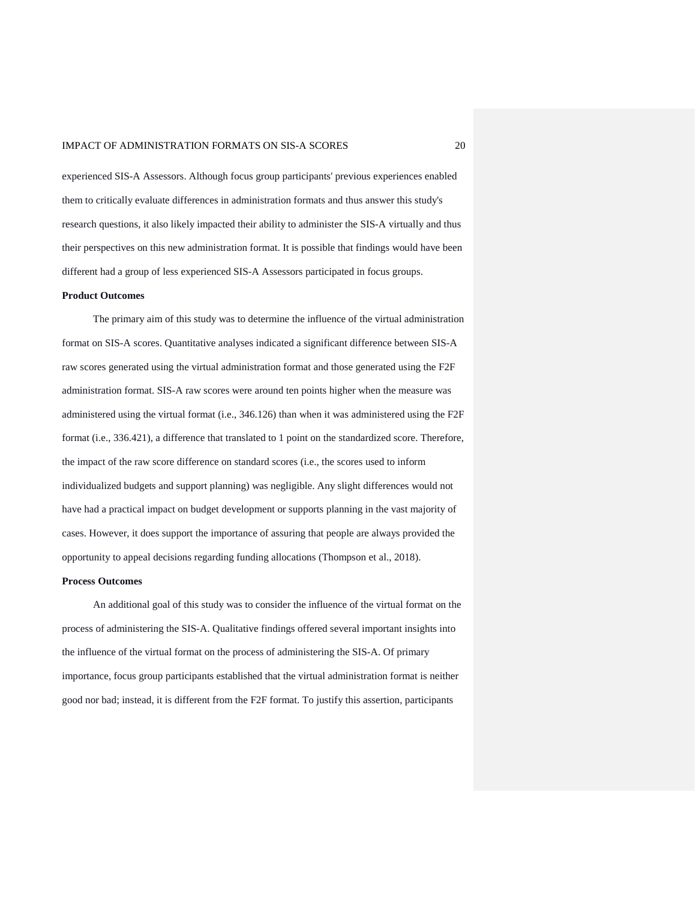experienced SIS-A Assessors. Although focus group participants' previous experiences enabled them to critically evaluate differences in administration formats and thus answer this study's research questions, it also likely impacted their ability to administer the SIS-A virtually and thus their perspectives on this new administration format. It is possible that findings would have been different had a group of less experienced SIS-A Assessors participated in focus groups.

#### **Product Outcomes**

The primary aim of this study was to determine the influence of the virtual administration format on SIS-A scores. Quantitative analyses indicated a significant difference between SIS-A raw scores generated using the virtual administration format and those generated using the F2F administration format. SIS-A raw scores were around ten points higher when the measure was administered using the virtual format (i.e., 346.126) than when it was administered using the F2F format (i.e., 336.421), a difference that translated to 1 point on the standardized score. Therefore, the impact of the raw score difference on standard scores (i.e., the scores used to inform individualized budgets and support planning) was negligible. Any slight differences would not have had a practical impact on budget development or supports planning in the vast majority of cases. However, it does support the importance of assuring that people are always provided the opportunity to appeal decisions regarding funding allocations (Thompson et al., 2018).

#### **Process Outcomes**

An additional goal of this study was to consider the influence of the virtual format on the process of administering the SIS-A. Qualitative findings offered several important insights into the influence of the virtual format on the process of administering the SIS-A. Of primary importance, focus group participants established that the virtual administration format is neither good nor bad; instead, it is different from the F2F format. To justify this assertion, participants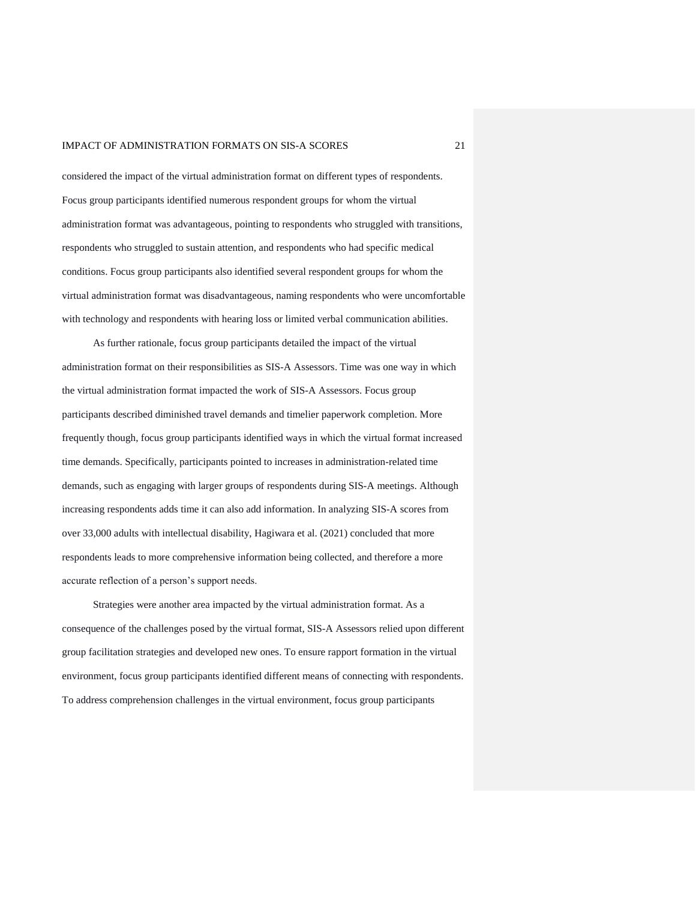considered the impact of the virtual administration format on different types of respondents. Focus group participants identified numerous respondent groups for whom the virtual administration format was advantageous, pointing to respondents who struggled with transitions, respondents who struggled to sustain attention, and respondents who had specific medical conditions. Focus group participants also identified several respondent groups for whom the virtual administration format was disadvantageous, naming respondents who were uncomfortable with technology and respondents with hearing loss or limited verbal communication abilities.

As further rationale, focus group participants detailed the impact of the virtual administration format on their responsibilities as SIS-A Assessors. Time was one way in which the virtual administration format impacted the work of SIS-A Assessors. Focus group participants described diminished travel demands and timelier paperwork completion. More frequently though, focus group participants identified ways in which the virtual format increased time demands. Specifically, participants pointed to increases in administration-related time demands, such as engaging with larger groups of respondents during SIS-A meetings. Although increasing respondents adds time it can also add information. In analyzing SIS-A scores from over 33,000 adults with intellectual disability, Hagiwara et al. (2021) concluded that more respondents leads to more comprehensive information being collected, and therefore a more accurate reflection of a person's support needs.

Strategies were another area impacted by the virtual administration format. As a consequence of the challenges posed by the virtual format, SIS-A Assessors relied upon different group facilitation strategies and developed new ones. To ensure rapport formation in the virtual environment, focus group participants identified different means of connecting with respondents. To address comprehension challenges in the virtual environment, focus group participants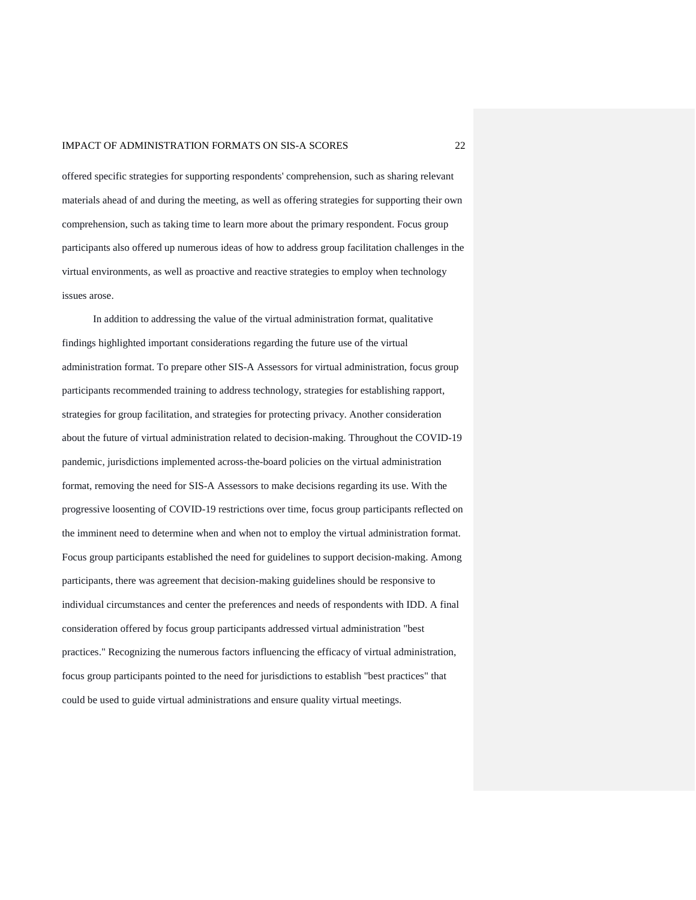offered specific strategies for supporting respondents' comprehension, such as sharing relevant materials ahead of and during the meeting, as well as offering strategies for supporting their own comprehension, such as taking time to learn more about the primary respondent. Focus group participants also offered up numerous ideas of how to address group facilitation challenges in the virtual environments, as well as proactive and reactive strategies to employ when technology issues arose.

In addition to addressing the value of the virtual administration format, qualitative findings highlighted important considerations regarding the future use of the virtual administration format. To prepare other SIS-A Assessors for virtual administration, focus group participants recommended training to address technology, strategies for establishing rapport, strategies for group facilitation, and strategies for protecting privacy. Another consideration about the future of virtual administration related to decision-making. Throughout the COVID-19 pandemic, jurisdictions implemented across-the-board policies on the virtual administration format, removing the need for SIS-A Assessors to make decisions regarding its use. With the progressive loosenting of COVID-19 restrictions over time, focus group participants reflected on the imminent need to determine when and when not to employ the virtual administration format. Focus group participants established the need for guidelines to support decision-making. Among participants, there was agreement that decision-making guidelines should be responsive to individual circumstances and center the preferences and needs of respondents with IDD. A final consideration offered by focus group participants addressed virtual administration "best practices." Recognizing the numerous factors influencing the efficacy of virtual administration, focus group participants pointed to the need for jurisdictions to establish "best practices" that could be used to guide virtual administrations and ensure quality virtual meetings.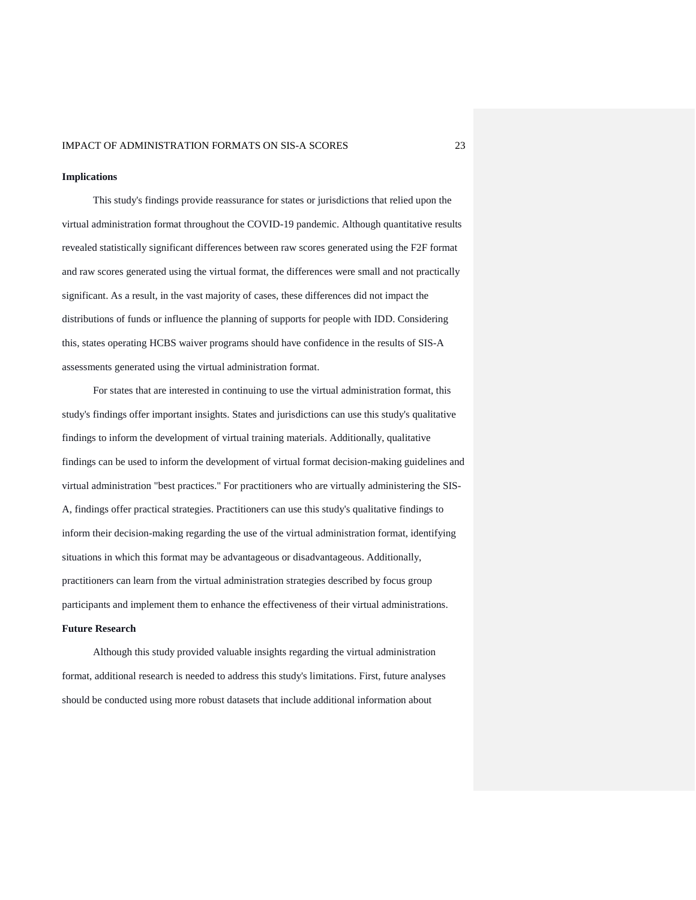#### **Implications**

This study's findings provide reassurance for states or jurisdictions that relied upon the virtual administration format throughout the COVID-19 pandemic. Although quantitative results revealed statistically significant differences between raw scores generated using the F2F format and raw scores generated using the virtual format, the differences were small and not practically significant. As a result, in the vast majority of cases, these differences did not impact the distributions of funds or influence the planning of supports for people with IDD. Considering this, states operating HCBS waiver programs should have confidence in the results of SIS-A assessments generated using the virtual administration format.

For states that are interested in continuing to use the virtual administration format, this study's findings offer important insights. States and jurisdictions can use this study's qualitative findings to inform the development of virtual training materials. Additionally, qualitative findings can be used to inform the development of virtual format decision-making guidelines and virtual administration "best practices." For practitioners who are virtually administering the SIS-A, findings offer practical strategies. Practitioners can use this study's qualitative findings to inform their decision-making regarding the use of the virtual administration format, identifying situations in which this format may be advantageous or disadvantageous. Additionally, practitioners can learn from the virtual administration strategies described by focus group participants and implement them to enhance the effectiveness of their virtual administrations.

#### **Future Research**

Although this study provided valuable insights regarding the virtual administration format, additional research is needed to address this study's limitations. First, future analyses should be conducted using more robust datasets that include additional information about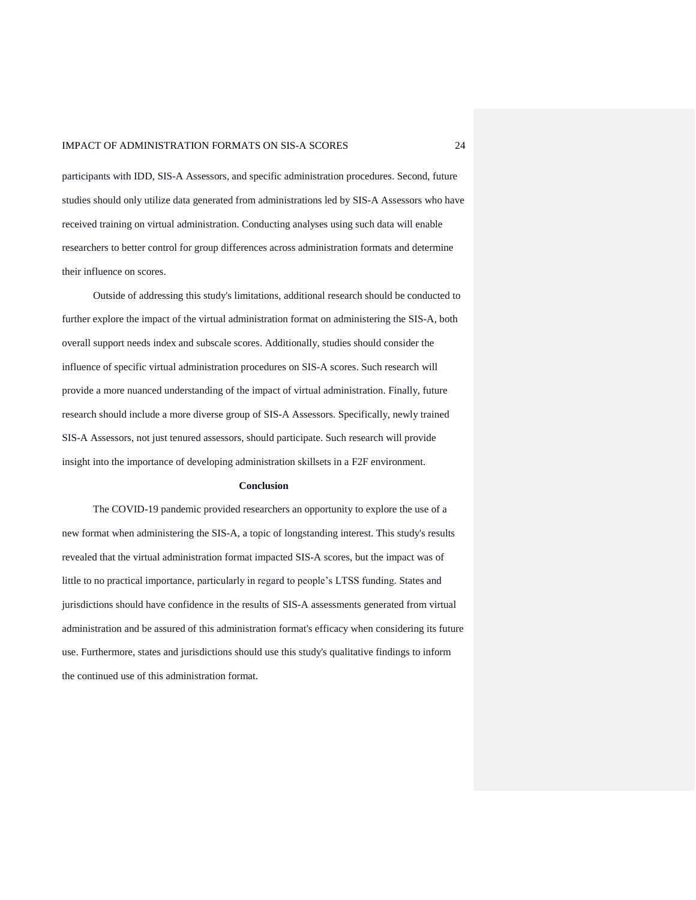participants with IDD, SIS-A Assessors, and specific administration procedures. Second, future studies should only utilize data generated from administrations led by SIS-A Assessors who have received training on virtual administration. Conducting analyses using such data will enable researchers to better control for group differences across administration formats and determine their influence on scores.

Outside of addressing this study's limitations, additional research should be conducted to further explore the impact of the virtual administration format on administering the SIS-A, both overall support needs index and subscale scores. Additionally, studies should consider the influence of specific virtual administration procedures on SIS-A scores. Such research will provide a more nuanced understanding of the impact of virtual administration. Finally, future research should include a more diverse group of SIS-A Assessors. Specifically, newly trained SIS-A Assessors, not just tenured assessors, should participate. Such research will provide insight into the importance of developing administration skillsets in a F2F environment.

#### **Conclusion**

The COVID-19 pandemic provided researchers an opportunity to explore the use of a new format when administering the SIS-A, a topic of longstanding interest. This study's results revealed that the virtual administration format impacted SIS-A scores, but the impact was of little to no practical importance, particularly in regard to people's LTSS funding. States and jurisdictions should have confidence in the results of SIS-A assessments generated from virtual administration and be assured of this administration format's efficacy when considering its future use. Furthermore, states and jurisdictions should use this study's qualitative findings to inform the continued use of this administration format.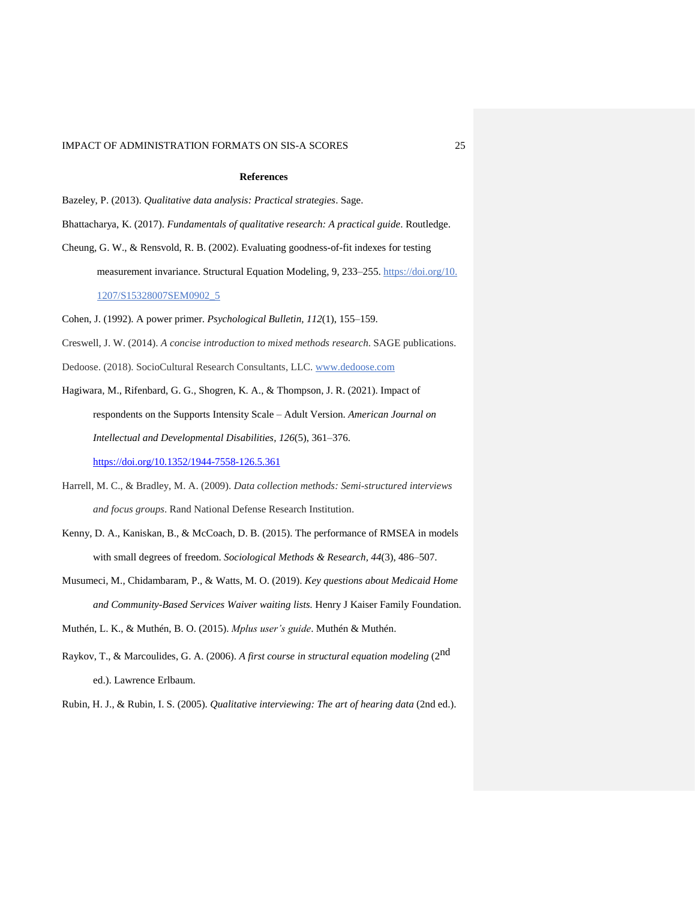#### **References**

Bazeley, P. (2013). *Qualitative data analysis: Practical strategies*. Sage.

Bhattacharya, K. (2017). *Fundamentals of qualitative research: A practical guide*. Routledge.

- Cheung, G. W., & Rensvold, R. B. (2002). Evaluating goodness-of-fit indexes for testing measurement invariance. Structural Equation Modeling, 9, 233–255. [https://doi.org/10.](https://doi.org/10.%201207/S15328007SEM0902_5)  [1207/S15328007SEM0902\\_5](https://doi.org/10.%201207/S15328007SEM0902_5)
- Cohen, J. (1992). A power primer. *Psychological Bulletin, 112*(1), 155–159.

Creswell, J. W. (2014). *A concise introduction to mixed methods research*. SAGE publications.

Dedoose. (2018). SocioCultural Research Consultants, LLC. [www.dedoose.com](http://dedoose.com/)

Hagiwara, M., Rifenbard, G. G., Shogren, K. A., & Thompson, J. R. (2021). Impact of respondents on the Supports Intensity Scale – Adult Version. *American Journal on Intellectual and Developmental Disabilities, 126*(5), 361–376. <https://doi.org/10.1352/1944-7558-126.5.361>

- Harrell, M. C., & Bradley, M. A. (2009). *Data collection methods: Semi-structured interviews and focus groups*. Rand National Defense Research Institution.
- Kenny, D. A., Kaniskan, B., & McCoach, D. B. (2015). The performance of RMSEA in models with small degrees of freedom. *Sociological Methods & Research, 44*(3), 486–507.
- Musumeci, M., Chidambaram, P., & Watts, M. O. (2019). *Key questions about Medicaid Home and Community-Based Services Waiver waiting lists.* Henry J Kaiser Family Foundation.
- Muthén, L. K., & Muthén, B. O. (2015). *Mplus user's guide*. Muthén & Muthén.
- Raykov, T., & Marcoulides, G. A. (2006). *A first course in structural equation modeling* (2nd ed.). Lawrence Erlbaum.

Rubin, H. J., & Rubin, I. S. (2005). *Qualitative interviewing: The art of hearing data* (2nd ed.).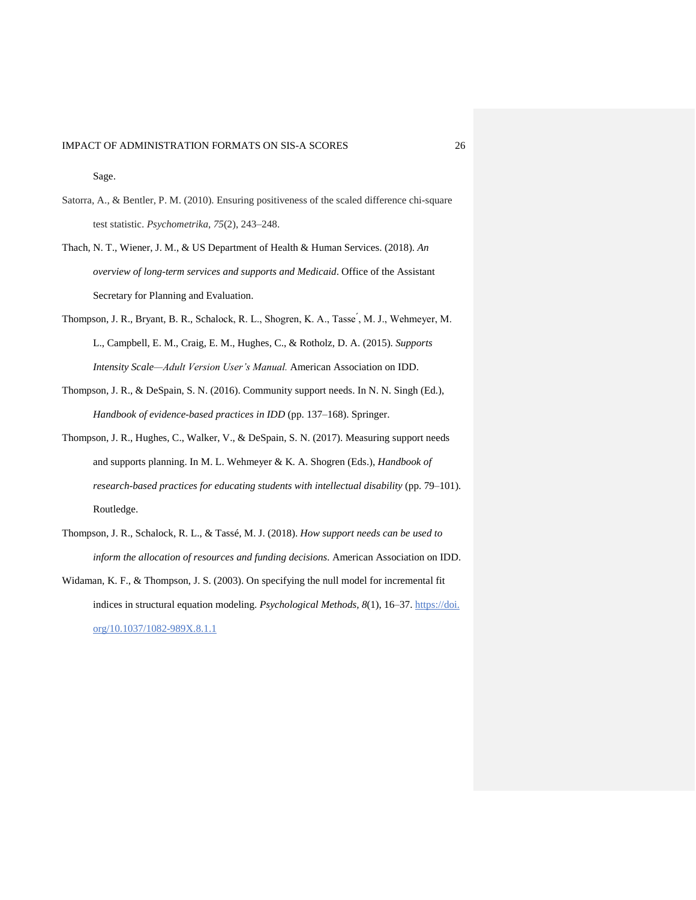Sage.

- Satorra, A., & Bentler, P. M. (2010). Ensuring positiveness of the scaled difference chi-square test statistic. *Psychometrika*, *75*(2), 243–248.
- Thach, N. T., Wiener, J. M., & US Department of Health & Human Services. (2018). *An overview of long-term services and supports and Medicaid*. Office of the Assistant Secretary for Planning and Evaluation.
- Thompson, J. R., Bryant, B. R., Schalock, R. L., Shogren, K. A., Tasse ́, M. J., Wehmeyer, M. L., Campbell, E. M., Craig, E. M., Hughes, C., & Rotholz, D. A. (2015). *Supports Intensity Scale—Adult Version User's Manual.* American Association on IDD.
- Thompson, J. R., & DeSpain, S. N. (2016). Community support needs. In N. N. Singh (Ed.), *Handbook of evidence-based practices in IDD* (pp. 137–168). Springer.
- Thompson, J. R., Hughes, C., Walker, V., & DeSpain, S. N. (2017). Measuring support needs and supports planning. In M. L. Wehmeyer & K. A. Shogren (Eds.), *Handbook of research-based practices for educating students with intellectual disability* (pp. 79–101). Routledge.
- Thompson, J. R., Schalock, R. L., & Tassé, M. J. (2018). *How support needs can be used to inform the allocation of resources and funding decisions.* American Association on IDD.
- Widaman, K. F., & Thompson, J. S. (2003). On specifying the null model for incremental fit indices in structural equation modeling. *Psychological Methods, 8*(1), 16–37. https://doi. org/10.1037/1082-989X.8.1.1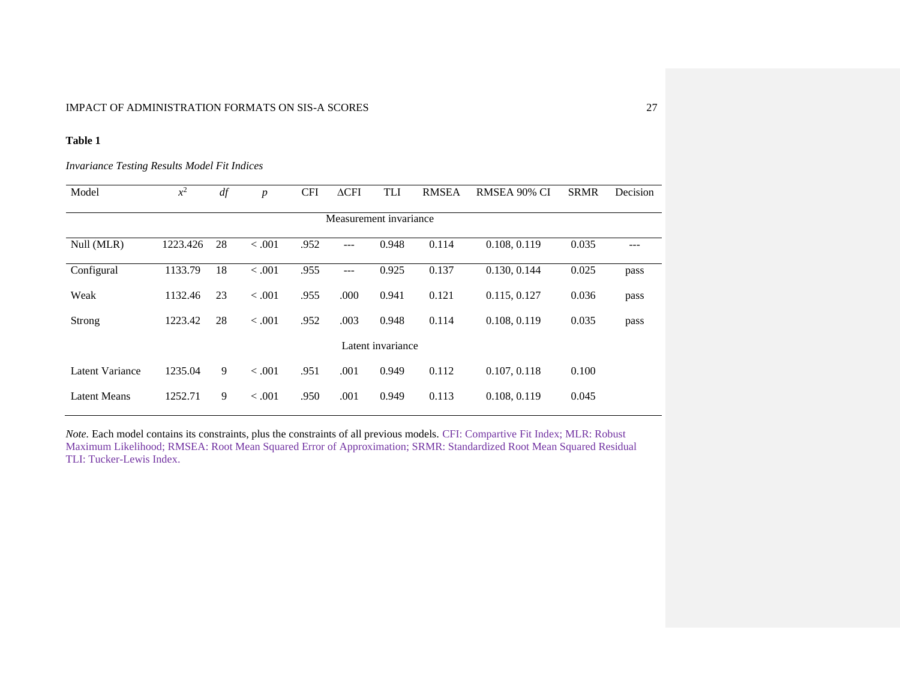# **Table 1**

# *Invariance Testing Results Model Fit Indices*

| Model           | $x^2$    | $df$ | $\boldsymbol{p}$ | <b>CFI</b> | $\triangle$ CFI | TLI                    | <b>RMSEA</b> | RMSEA 90% CI | <b>SRMR</b> | Decision |
|-----------------|----------|------|------------------|------------|-----------------|------------------------|--------------|--------------|-------------|----------|
|                 |          |      |                  |            |                 | Measurement invariance |              |              |             |          |
| Null (MLR)      | 1223.426 | 28   | < .001           | .952       | $---$           | 0.948                  | 0.114        | 0.108, 0.119 | 0.035       | ---      |
| Configural      | 1133.79  | 18   | < .001           | .955       | $---$           | 0.925                  | 0.137        | 0.130, 0.144 | 0.025       | pass     |
| Weak            | 1132.46  | 23   | < 0.001          | .955       | .000            | 0.941                  | 0.121        | 0.115, 0.127 | 0.036       | pass     |
| Strong          | 1223.42  | 28   | < .001           | .952       | .003            | 0.948                  | 0.114        | 0.108, 0.119 | 0.035       | pass     |
|                 |          |      |                  |            |                 | Latent invariance      |              |              |             |          |
| Latent Variance | 1235.04  | 9    | < .001           | .951       | .001            | 0.949                  | 0.112        | 0.107, 0.118 | 0.100       |          |
| Latent Means    | 1252.71  | 9    | < 0.001          | .950       | .001            | 0.949                  | 0.113        | 0.108, 0.119 | 0.045       |          |

*Note.* Each model contains its constraints, plus the constraints of all previous models. CFI: Compartive Fit Index; MLR: Robust Maximum Likelihood; RMSEA: Root Mean Squared Error of Approximation; SRMR: Standardized Root Mean Squared Residual TLI: Tucker-Lewis Index.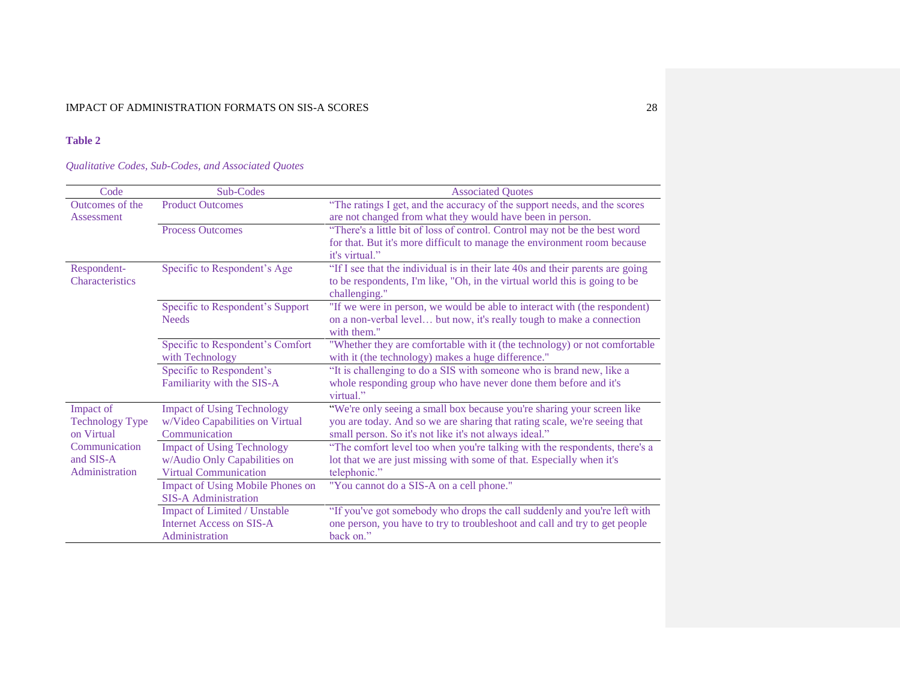# **Table 2**

# *Qualitative Codes, Sub-Codes, and Associated Quotes*

| Code                                              | Sub-Codes                                                                                         | <b>Associated Quotes</b>                                                                                                                                                                                      |
|---------------------------------------------------|---------------------------------------------------------------------------------------------------|---------------------------------------------------------------------------------------------------------------------------------------------------------------------------------------------------------------|
| Outcomes of the<br>Assessment                     | <b>Product Outcomes</b>                                                                           | "The ratings I get, and the accuracy of the support needs, and the scores<br>are not changed from what they would have been in person.                                                                        |
|                                                   | <b>Process Outcomes</b>                                                                           | "There's a little bit of loss of control. Control may not be the best word<br>for that. But it's more difficult to manage the environment room because<br>it's virtual."                                      |
| Respondent-<br><b>Characteristics</b>             | Specific to Respondent's Age                                                                      | "If I see that the individual is in their late 40s and their parents are going<br>to be respondents, I'm like, "Oh, in the virtual world this is going to be<br>challenging."                                 |
|                                                   | Specific to Respondent's Support<br><b>Needs</b>                                                  | "If we were in person, we would be able to interact with (the respondent)<br>on a non-verbal level but now, it's really tough to make a connection<br>with them."                                             |
|                                                   | Specific to Respondent's Comfort<br>with Technology                                               | "Whether they are comfortable with it (the technology) or not comfortable<br>with it (the technology) makes a huge difference."                                                                               |
|                                                   | Specific to Respondent's<br>Familiarity with the SIS-A                                            | "It is challenging to do a SIS with someone who is brand new, like a<br>whole responding group who have never done them before and it's<br>virtual."                                                          |
| Impact of<br><b>Technology Type</b><br>on Virtual | <b>Impact of Using Technology</b><br>w/Video Capabilities on Virtual<br>Communication             | "We're only seeing a small box because you're sharing your screen like<br>you are today. And so we are sharing that rating scale, we're seeing that<br>small person. So it's not like it's not always ideal." |
| Communication<br>and SIS-A<br>Administration      | <b>Impact of Using Technology</b><br>w/Audio Only Capabilities on<br><b>Virtual Communication</b> | "The comfort level too when you're talking with the respondents, there's a<br>lot that we are just missing with some of that. Especially when it's<br>telephonic."                                            |
|                                                   | <b>Impact of Using Mobile Phones on</b><br><b>SIS-A Administration</b>                            | "You cannot do a SIS-A on a cell phone."                                                                                                                                                                      |
|                                                   | Impact of Limited / Unstable<br><b>Internet Access on SIS-A</b><br>Administration                 | "If you've got somebody who drops the call suddenly and you're left with<br>one person, you have to try to troubleshoot and call and try to get people<br>back on."                                           |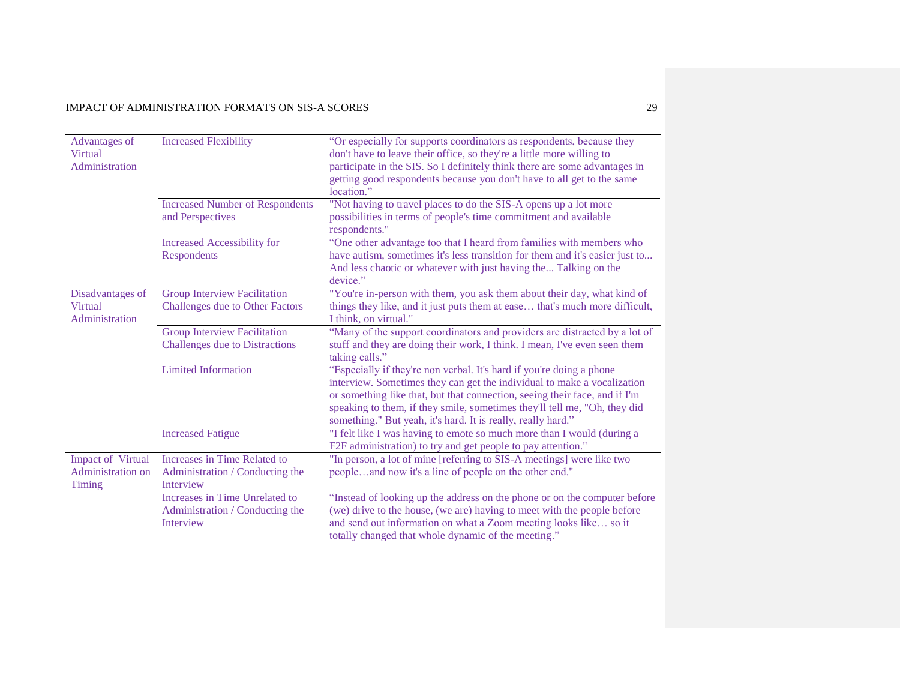| Advantages of<br><b>Virtual</b><br>Administration              | <b>Increased Flexibility</b>                                                          | "Or especially for supports coordinators as respondents, because they<br>don't have to leave their office, so they're a little more willing to<br>participate in the SIS. So I definitely think there are some advantages in<br>getting good respondents because you don't have to all get to the same<br>location."                                                       |
|----------------------------------------------------------------|---------------------------------------------------------------------------------------|----------------------------------------------------------------------------------------------------------------------------------------------------------------------------------------------------------------------------------------------------------------------------------------------------------------------------------------------------------------------------|
|                                                                | <b>Increased Number of Respondents</b><br>and Perspectives                            | "Not having to travel places to do the SIS-A opens up a lot more<br>possibilities in terms of people's time commitment and available<br>respondents."                                                                                                                                                                                                                      |
|                                                                | <b>Increased Accessibility for</b><br>Respondents                                     | "One other advantage too that I heard from families with members who<br>have autism, sometimes it's less transition for them and it's easier just to<br>And less chaotic or whatever with just having the Talking on the<br>device."                                                                                                                                       |
| Disadvantages of<br>Virtual<br>Administration                  | <b>Group Interview Facilitation</b><br><b>Challenges due to Other Factors</b>         | "You're in-person with them, you ask them about their day, what kind of<br>things they like, and it just puts them at ease that's much more difficult,<br>I think, on virtual."                                                                                                                                                                                            |
|                                                                | <b>Group Interview Facilitation</b><br><b>Challenges due to Distractions</b>          | "Many of the support coordinators and providers are distracted by a lot of<br>stuff and they are doing their work, I think. I mean, I've even seen them<br>taking calls."                                                                                                                                                                                                  |
|                                                                | <b>Limited Information</b>                                                            | "Especially if they're non verbal. It's hard if you're doing a phone<br>interview. Sometimes they can get the individual to make a vocalization<br>or something like that, but that connection, seeing their face, and if I'm<br>speaking to them, if they smile, sometimes they'll tell me, "Oh, they did<br>something." But yeah, it's hard. It is really, really hard." |
|                                                                | <b>Increased Fatigue</b>                                                              | "I felt like I was having to emote so much more than I would (during a<br>F2F administration) to try and get people to pay attention."                                                                                                                                                                                                                                     |
| <b>Impact of Virtual</b><br><b>Administration on</b><br>Timing | Increases in Time Related to<br>Administration / Conducting the<br>Interview          | "In person, a lot of mine [referring to SIS-A meetings] were like two<br>peopleand now it's a line of people on the other end."                                                                                                                                                                                                                                            |
|                                                                | Increases in Time Unrelated to<br>Administration / Conducting the<br><b>Interview</b> | "Instead of looking up the address on the phone or on the computer before<br>(we) drive to the house, (we are) having to meet with the people before<br>and send out information on what a Zoom meeting looks like so it<br>totally changed that whole dynamic of the meeting."                                                                                            |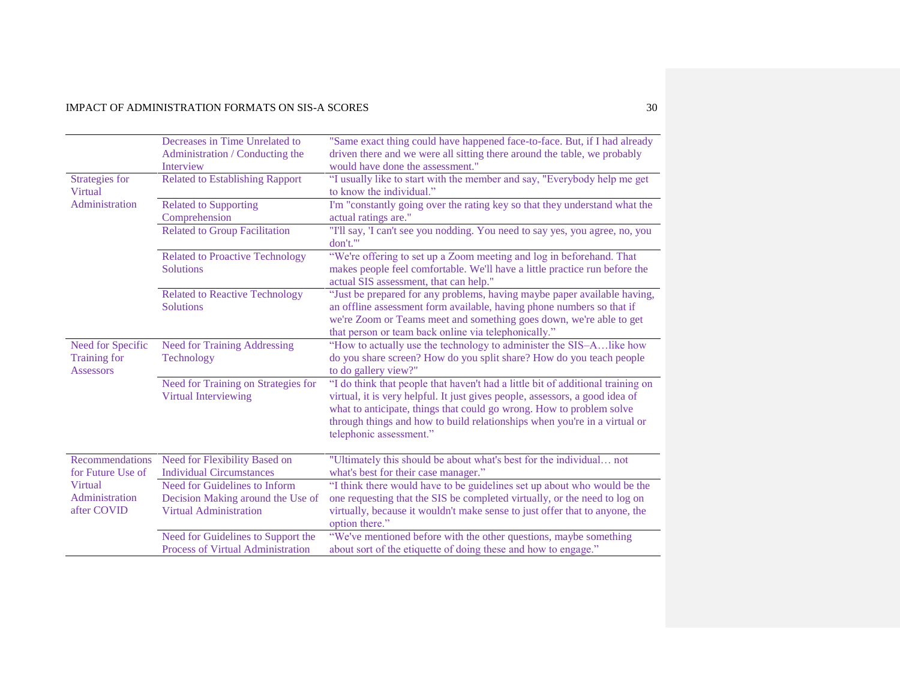|                                                              | Decreases in Time Unrelated to<br>Administration / Conducting the<br><b>Interview</b>               | "Same exact thing could have happened face-to-face. But, if I had already<br>driven there and we were all sitting there around the table, we probably<br>would have done the assessment."                                                                                                                                                       |
|--------------------------------------------------------------|-----------------------------------------------------------------------------------------------------|-------------------------------------------------------------------------------------------------------------------------------------------------------------------------------------------------------------------------------------------------------------------------------------------------------------------------------------------------|
| Strategies for<br><b>Virtual</b>                             | <b>Related to Establishing Rapport</b>                                                              | "I usually like to start with the member and say, "Everybody help me get<br>to know the individual."                                                                                                                                                                                                                                            |
| Administration                                               | <b>Related to Supporting</b><br>Comprehension                                                       | I'm "constantly going over the rating key so that they understand what the<br>actual ratings are."                                                                                                                                                                                                                                              |
|                                                              | <b>Related to Group Facilitation</b>                                                                | "I'll say, 'I can't see you nodding. You need to say yes, you agree, no, you<br>don't."                                                                                                                                                                                                                                                         |
|                                                              | <b>Related to Proactive Technology</b><br><b>Solutions</b>                                          | "We're offering to set up a Zoom meeting and log in beforehand. That<br>makes people feel comfortable. We'll have a little practice run before the<br>actual SIS assessment, that can help."                                                                                                                                                    |
|                                                              | <b>Related to Reactive Technology</b><br><b>Solutions</b>                                           | "Just be prepared for any problems, having maybe paper available having,<br>an offline assessment form available, having phone numbers so that if<br>we're Zoom or Teams meet and something goes down, we're able to get<br>that person or team back online via telephonically."                                                                |
| Need for Specific<br><b>Training for</b><br><b>Assessors</b> | <b>Need for Training Addressing</b><br>Technology                                                   | "How to actually use the technology to administer the SIS-A like how<br>do you share screen? How do you split share? How do you teach people<br>to do gallery view?"                                                                                                                                                                            |
|                                                              | Need for Training on Strategies for<br>Virtual Interviewing                                         | "I do think that people that haven't had a little bit of additional training on<br>virtual, it is very helpful. It just gives people, assessors, a good idea of<br>what to anticipate, things that could go wrong. How to problem solve<br>through things and how to build relationships when you're in a virtual or<br>telephonic assessment." |
| Recommendations<br>for Future Use of                         | Need for Flexibility Based on<br><b>Individual Circumstances</b>                                    | "Ultimately this should be about what's best for the individual not<br>what's best for their case manager."                                                                                                                                                                                                                                     |
| Virtual<br>Administration<br>after COVID                     | Need for Guidelines to Inform<br>Decision Making around the Use of<br><b>Virtual Administration</b> | "I think there would have to be guidelines set up about who would be the<br>one requesting that the SIS be completed virtually, or the need to log on<br>virtually, because it wouldn't make sense to just offer that to anyone, the<br>option there."                                                                                          |
|                                                              | Need for Guidelines to Support the<br><b>Process of Virtual Administration</b>                      | "We've mentioned before with the other questions, maybe something<br>about sort of the etiquette of doing these and how to engage."                                                                                                                                                                                                             |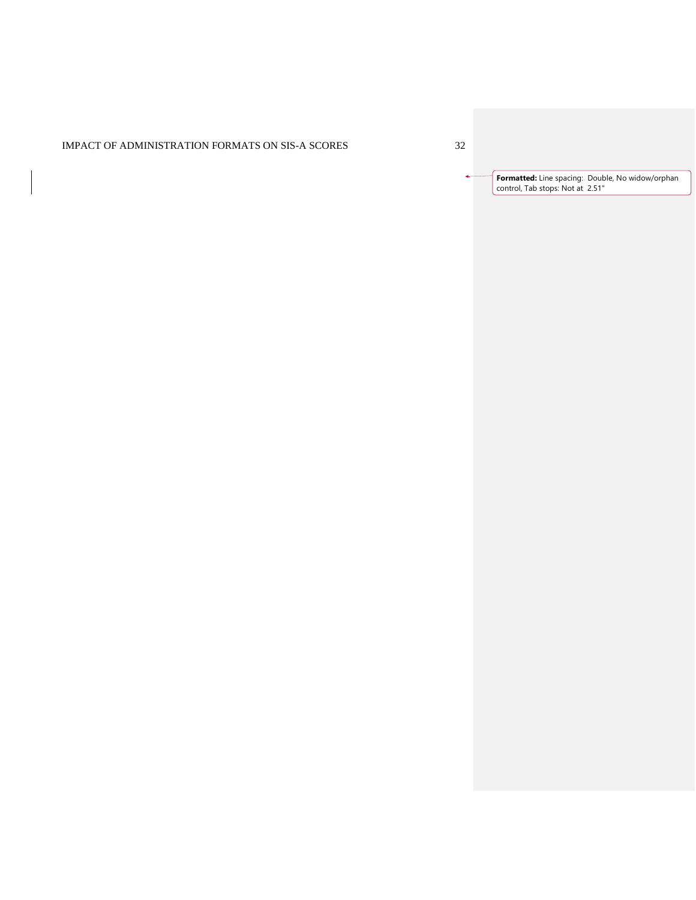$\ddot{\phantom{1}}$ 

**Formatted:** Line spacing: Double, No widow/orphan control, Tab stops: Not at 2.51"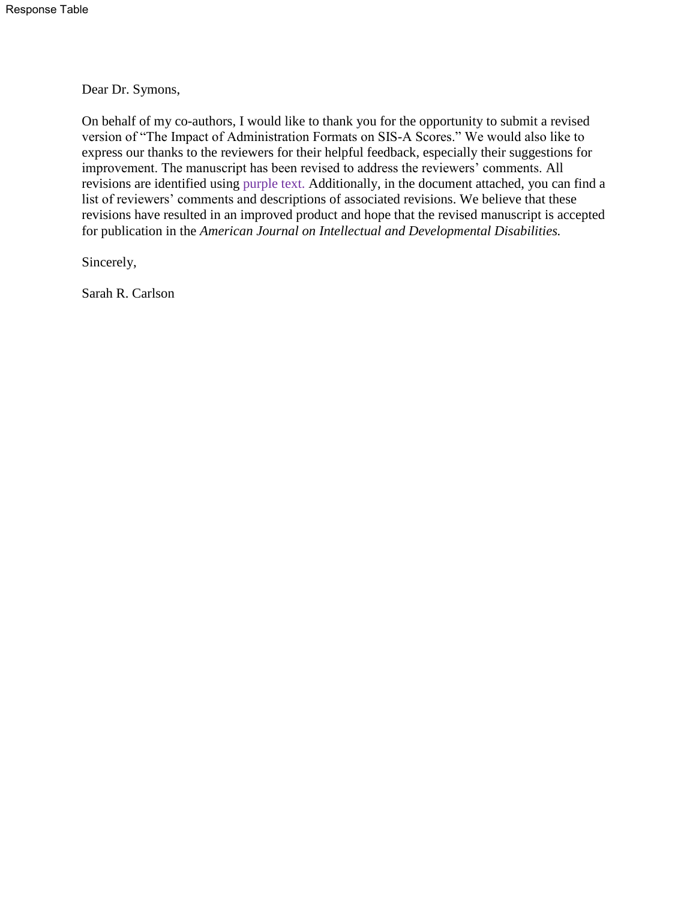Dear Dr. Symons,

On behalf of my co-authors, I would like to thank you for the opportunity to submit a revised version of "The Impact of Administration Formats on SIS-A Scores." We would also like to express our thanks to the reviewers for their helpful feedback, especially their suggestions for improvement. The manuscript has been revised to address the reviewers' comments. All revisions are identified using purple text. Additionally, in the document attached, you can find a list of reviewers' comments and descriptions of associated revisions. We believe that these revisions have resulted in an improved product and hope that the revised manuscript is accepted for publication in the *American Journal on Intellectual and Developmental Disabilities.*

Sincerely,

Sarah R. Carlson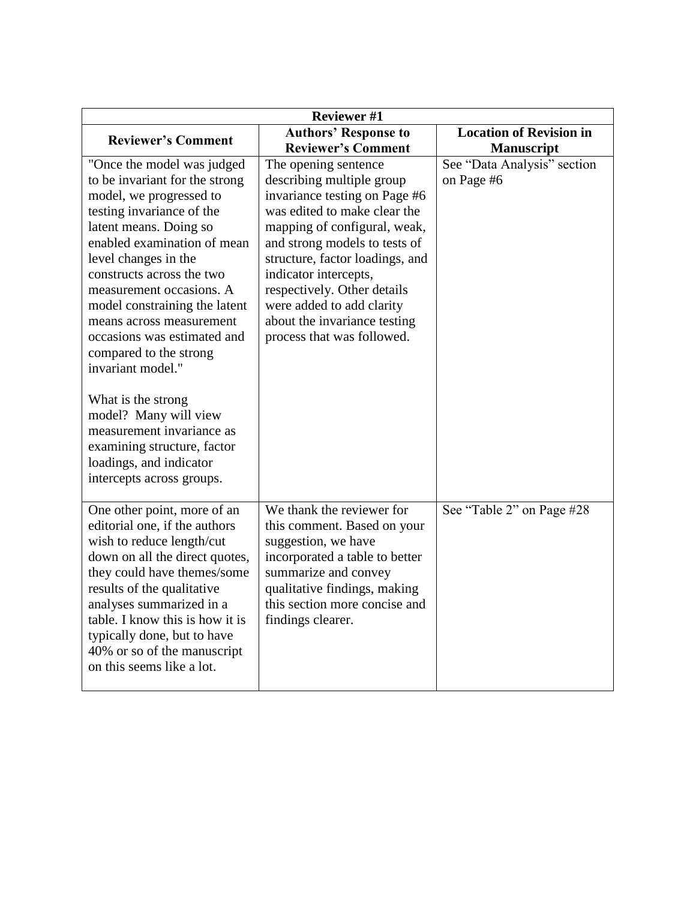| <b>Reviewer #1</b>                                                                                                                                                                                                                                                                                                                                                                                                                                                                                                                                                           |                                                                                                                                                                                                                                                                                                                                                                           |                                                     |  |  |
|------------------------------------------------------------------------------------------------------------------------------------------------------------------------------------------------------------------------------------------------------------------------------------------------------------------------------------------------------------------------------------------------------------------------------------------------------------------------------------------------------------------------------------------------------------------------------|---------------------------------------------------------------------------------------------------------------------------------------------------------------------------------------------------------------------------------------------------------------------------------------------------------------------------------------------------------------------------|-----------------------------------------------------|--|--|
| <b>Reviewer's Comment</b>                                                                                                                                                                                                                                                                                                                                                                                                                                                                                                                                                    | <b>Authors' Response to</b><br><b>Reviewer's Comment</b>                                                                                                                                                                                                                                                                                                                  | <b>Location of Revision in</b><br><b>Manuscript</b> |  |  |
| "Once the model was judged<br>to be invariant for the strong<br>model, we progressed to<br>testing invariance of the<br>latent means. Doing so<br>enabled examination of mean<br>level changes in the<br>constructs across the two<br>measurement occasions. A<br>model constraining the latent<br>means across measurement<br>occasions was estimated and<br>compared to the strong<br>invariant model."<br>What is the strong<br>model? Many will view<br>measurement invariance as<br>examining structure, factor<br>loadings, and indicator<br>intercepts across groups. | The opening sentence<br>describing multiple group<br>invariance testing on Page #6<br>was edited to make clear the<br>mapping of configural, weak,<br>and strong models to tests of<br>structure, factor loadings, and<br>indicator intercepts,<br>respectively. Other details<br>were added to add clarity<br>about the invariance testing<br>process that was followed. | See "Data Analysis" section<br>on Page #6           |  |  |
| One other point, more of an<br>editorial one, if the authors<br>wish to reduce length/cut<br>down on all the direct quotes,<br>they could have themes/some<br>results of the qualitative<br>analyses summarized in a<br>table. I know this is how it is<br>typically done, but to have<br>40% or so of the manuscript<br>on this seems like a lot.                                                                                                                                                                                                                           | We thank the reviewer for<br>this comment. Based on your<br>suggestion, we have<br>incorporated a table to better<br>summarize and convey<br>qualitative findings, making<br>this section more concise and<br>findings clearer.                                                                                                                                           | See "Table 2" on Page #28                           |  |  |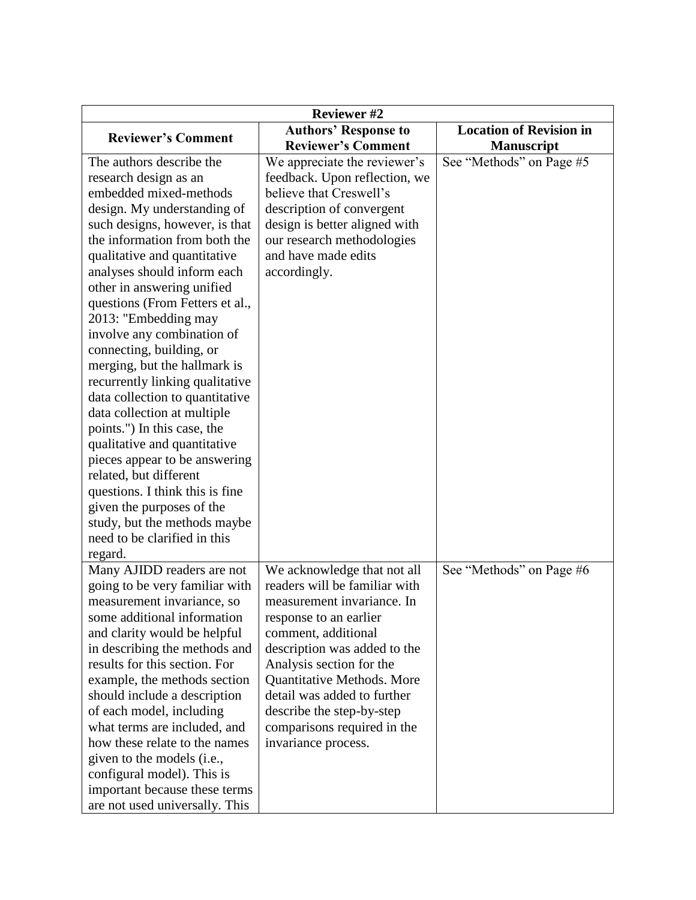| <b>Reviewer #2</b>                                                                                                                                                                                                                                                                                                                                                                                                                                                                                                                                                                                                                                                                                                                                                                                        |                                                                                                                                                                                                                                                                                                                                                         |                                |  |  |
|-----------------------------------------------------------------------------------------------------------------------------------------------------------------------------------------------------------------------------------------------------------------------------------------------------------------------------------------------------------------------------------------------------------------------------------------------------------------------------------------------------------------------------------------------------------------------------------------------------------------------------------------------------------------------------------------------------------------------------------------------------------------------------------------------------------|---------------------------------------------------------------------------------------------------------------------------------------------------------------------------------------------------------------------------------------------------------------------------------------------------------------------------------------------------------|--------------------------------|--|--|
| <b>Reviewer's Comment</b>                                                                                                                                                                                                                                                                                                                                                                                                                                                                                                                                                                                                                                                                                                                                                                                 | <b>Authors' Response to</b>                                                                                                                                                                                                                                                                                                                             | <b>Location of Revision in</b> |  |  |
|                                                                                                                                                                                                                                                                                                                                                                                                                                                                                                                                                                                                                                                                                                                                                                                                           | <b>Reviewer's Comment</b>                                                                                                                                                                                                                                                                                                                               | <b>Manuscript</b>              |  |  |
| The authors describe the<br>research design as an<br>embedded mixed-methods<br>design. My understanding of<br>such designs, however, is that<br>the information from both the<br>qualitative and quantitative<br>analyses should inform each<br>other in answering unified<br>questions (From Fetters et al.,<br>2013: "Embedding may<br>involve any combination of<br>connecting, building, or<br>merging, but the hallmark is<br>recurrently linking qualitative<br>data collection to quantitative<br>data collection at multiple<br>points.") In this case, the<br>qualitative and quantitative<br>pieces appear to be answering<br>related, but different<br>questions. I think this is fine<br>given the purposes of the<br>study, but the methods maybe<br>need to be clarified in this<br>regard. | We appreciate the reviewer's<br>feedback. Upon reflection, we<br>believe that Creswell's<br>description of convergent<br>design is better aligned with<br>our research methodologies<br>and have made edits<br>accordingly.                                                                                                                             | See "Methods" on Page #5       |  |  |
| Many AJIDD readers are not<br>going to be very familiar with<br>measurement invariance, so<br>some additional information<br>and clarity would be helpful<br>in describing the methods and<br>results for this section. For<br>example, the methods section<br>should include a description<br>of each model, including<br>what terms are included, and<br>how these relate to the names<br>given to the models (i.e.,<br>configural model). This is<br>important because these terms<br>are not used universally. This                                                                                                                                                                                                                                                                                   | We acknowledge that not all<br>readers will be familiar with<br>measurement invariance. In<br>response to an earlier<br>comment, additional<br>description was added to the<br>Analysis section for the<br>Quantitative Methods. More<br>detail was added to further<br>describe the step-by-step<br>comparisons required in the<br>invariance process. | See "Methods" on Page #6       |  |  |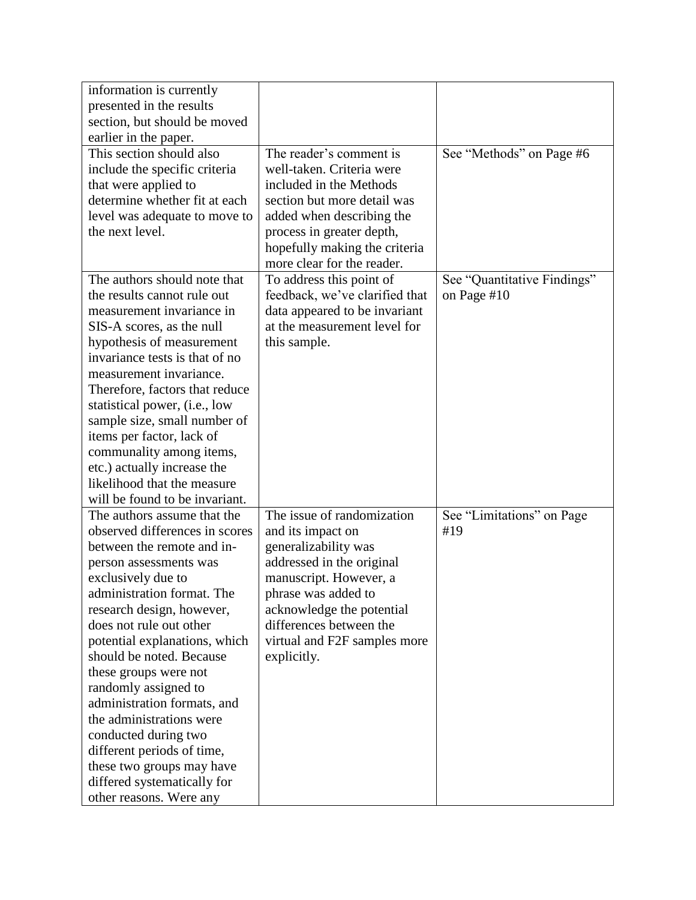| information is currently                                    |                                |                             |
|-------------------------------------------------------------|--------------------------------|-----------------------------|
| presented in the results                                    |                                |                             |
| section, but should be moved                                |                                |                             |
| earlier in the paper.                                       |                                |                             |
| This section should also                                    | The reader's comment is        | See "Methods" on Page #6    |
| include the specific criteria                               | well-taken. Criteria were      |                             |
| that were applied to                                        | included in the Methods        |                             |
| determine whether fit at each                               | section but more detail was    |                             |
| level was adequate to move to                               | added when describing the      |                             |
| the next level.                                             | process in greater depth,      |                             |
|                                                             | hopefully making the criteria  |                             |
|                                                             | more clear for the reader.     |                             |
| The authors should note that                                | To address this point of       | See "Quantitative Findings" |
| the results cannot rule out                                 | feedback, we've clarified that | on Page #10                 |
| measurement invariance in                                   | data appeared to be invariant  |                             |
| SIS-A scores, as the null                                   | at the measurement level for   |                             |
|                                                             |                                |                             |
| hypothesis of measurement<br>invariance tests is that of no | this sample.                   |                             |
| measurement invariance.                                     |                                |                             |
|                                                             |                                |                             |
| Therefore, factors that reduce                              |                                |                             |
| statistical power, (i.e., low                               |                                |                             |
| sample size, small number of                                |                                |                             |
| items per factor, lack of                                   |                                |                             |
| communality among items,                                    |                                |                             |
| etc.) actually increase the                                 |                                |                             |
| likelihood that the measure                                 |                                |                             |
| will be found to be invariant.                              |                                |                             |
| The authors assume that the                                 | The issue of randomization     | See "Limitations" on Page   |
| observed differences in scores                              | and its impact on              | #19                         |
| between the remote and in-                                  | generalizability was           |                             |
| person assessments was                                      | addressed in the original      |                             |
| exclusively due to                                          | manuscript. However, a         |                             |
| administration format. The                                  | phrase was added to            |                             |
| research design, however,                                   | acknowledge the potential      |                             |
| does not rule out other                                     | differences between the        |                             |
| potential explanations, which                               | virtual and F2F samples more   |                             |
| should be noted. Because                                    | explicitly.                    |                             |
| these groups were not                                       |                                |                             |
| randomly assigned to                                        |                                |                             |
| administration formats, and                                 |                                |                             |
| the administrations were                                    |                                |                             |
| conducted during two                                        |                                |                             |
| different periods of time,                                  |                                |                             |
| these two groups may have                                   |                                |                             |
| differed systematically for                                 |                                |                             |
| other reasons. Were any                                     |                                |                             |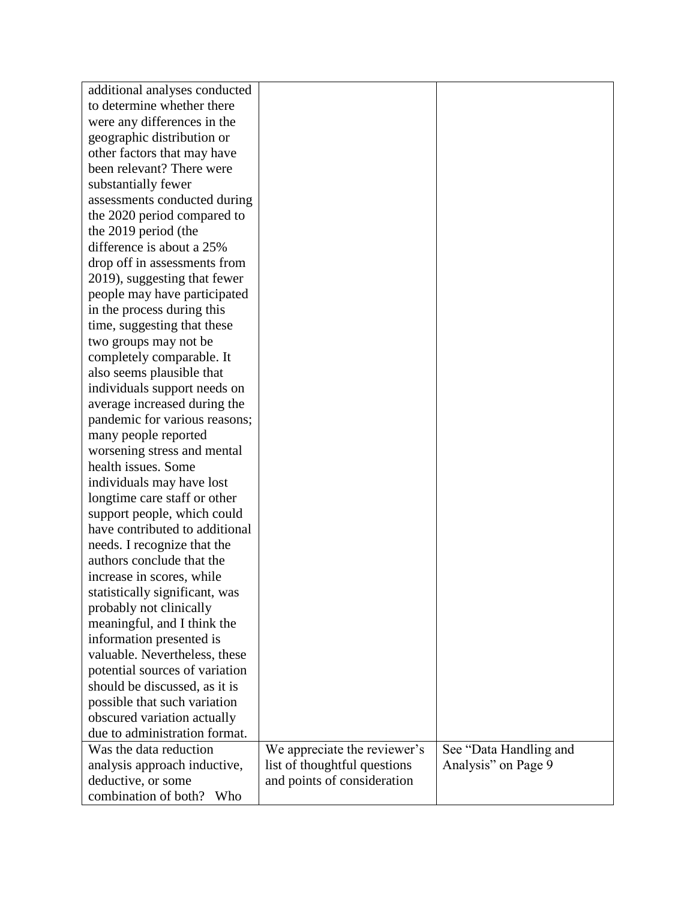| additional analyses conducted                                                                                                                                                                                                                                                                                                                                                                                                                                                                                                                                                                                                                                                                                                                  |                                                                                             |                                               |
|------------------------------------------------------------------------------------------------------------------------------------------------------------------------------------------------------------------------------------------------------------------------------------------------------------------------------------------------------------------------------------------------------------------------------------------------------------------------------------------------------------------------------------------------------------------------------------------------------------------------------------------------------------------------------------------------------------------------------------------------|---------------------------------------------------------------------------------------------|-----------------------------------------------|
| to determine whether there                                                                                                                                                                                                                                                                                                                                                                                                                                                                                                                                                                                                                                                                                                                     |                                                                                             |                                               |
| were any differences in the                                                                                                                                                                                                                                                                                                                                                                                                                                                                                                                                                                                                                                                                                                                    |                                                                                             |                                               |
| geographic distribution or                                                                                                                                                                                                                                                                                                                                                                                                                                                                                                                                                                                                                                                                                                                     |                                                                                             |                                               |
| other factors that may have                                                                                                                                                                                                                                                                                                                                                                                                                                                                                                                                                                                                                                                                                                                    |                                                                                             |                                               |
| been relevant? There were                                                                                                                                                                                                                                                                                                                                                                                                                                                                                                                                                                                                                                                                                                                      |                                                                                             |                                               |
| substantially fewer                                                                                                                                                                                                                                                                                                                                                                                                                                                                                                                                                                                                                                                                                                                            |                                                                                             |                                               |
| assessments conducted during                                                                                                                                                                                                                                                                                                                                                                                                                                                                                                                                                                                                                                                                                                                   |                                                                                             |                                               |
| the 2020 period compared to                                                                                                                                                                                                                                                                                                                                                                                                                                                                                                                                                                                                                                                                                                                    |                                                                                             |                                               |
| the 2019 period (the                                                                                                                                                                                                                                                                                                                                                                                                                                                                                                                                                                                                                                                                                                                           |                                                                                             |                                               |
| difference is about a 25%                                                                                                                                                                                                                                                                                                                                                                                                                                                                                                                                                                                                                                                                                                                      |                                                                                             |                                               |
| drop off in assessments from                                                                                                                                                                                                                                                                                                                                                                                                                                                                                                                                                                                                                                                                                                                   |                                                                                             |                                               |
| 2019), suggesting that fewer                                                                                                                                                                                                                                                                                                                                                                                                                                                                                                                                                                                                                                                                                                                   |                                                                                             |                                               |
| people may have participated                                                                                                                                                                                                                                                                                                                                                                                                                                                                                                                                                                                                                                                                                                                   |                                                                                             |                                               |
| in the process during this                                                                                                                                                                                                                                                                                                                                                                                                                                                                                                                                                                                                                                                                                                                     |                                                                                             |                                               |
| time, suggesting that these                                                                                                                                                                                                                                                                                                                                                                                                                                                                                                                                                                                                                                                                                                                    |                                                                                             |                                               |
| two groups may not be                                                                                                                                                                                                                                                                                                                                                                                                                                                                                                                                                                                                                                                                                                                          |                                                                                             |                                               |
| completely comparable. It                                                                                                                                                                                                                                                                                                                                                                                                                                                                                                                                                                                                                                                                                                                      |                                                                                             |                                               |
| also seems plausible that                                                                                                                                                                                                                                                                                                                                                                                                                                                                                                                                                                                                                                                                                                                      |                                                                                             |                                               |
| individuals support needs on                                                                                                                                                                                                                                                                                                                                                                                                                                                                                                                                                                                                                                                                                                                   |                                                                                             |                                               |
| average increased during the                                                                                                                                                                                                                                                                                                                                                                                                                                                                                                                                                                                                                                                                                                                   |                                                                                             |                                               |
|                                                                                                                                                                                                                                                                                                                                                                                                                                                                                                                                                                                                                                                                                                                                                |                                                                                             |                                               |
|                                                                                                                                                                                                                                                                                                                                                                                                                                                                                                                                                                                                                                                                                                                                                |                                                                                             |                                               |
|                                                                                                                                                                                                                                                                                                                                                                                                                                                                                                                                                                                                                                                                                                                                                |                                                                                             |                                               |
|                                                                                                                                                                                                                                                                                                                                                                                                                                                                                                                                                                                                                                                                                                                                                |                                                                                             |                                               |
|                                                                                                                                                                                                                                                                                                                                                                                                                                                                                                                                                                                                                                                                                                                                                |                                                                                             |                                               |
|                                                                                                                                                                                                                                                                                                                                                                                                                                                                                                                                                                                                                                                                                                                                                |                                                                                             |                                               |
|                                                                                                                                                                                                                                                                                                                                                                                                                                                                                                                                                                                                                                                                                                                                                |                                                                                             |                                               |
|                                                                                                                                                                                                                                                                                                                                                                                                                                                                                                                                                                                                                                                                                                                                                |                                                                                             |                                               |
|                                                                                                                                                                                                                                                                                                                                                                                                                                                                                                                                                                                                                                                                                                                                                |                                                                                             |                                               |
|                                                                                                                                                                                                                                                                                                                                                                                                                                                                                                                                                                                                                                                                                                                                                |                                                                                             |                                               |
|                                                                                                                                                                                                                                                                                                                                                                                                                                                                                                                                                                                                                                                                                                                                                |                                                                                             |                                               |
|                                                                                                                                                                                                                                                                                                                                                                                                                                                                                                                                                                                                                                                                                                                                                |                                                                                             |                                               |
|                                                                                                                                                                                                                                                                                                                                                                                                                                                                                                                                                                                                                                                                                                                                                |                                                                                             |                                               |
|                                                                                                                                                                                                                                                                                                                                                                                                                                                                                                                                                                                                                                                                                                                                                |                                                                                             |                                               |
|                                                                                                                                                                                                                                                                                                                                                                                                                                                                                                                                                                                                                                                                                                                                                |                                                                                             |                                               |
|                                                                                                                                                                                                                                                                                                                                                                                                                                                                                                                                                                                                                                                                                                                                                |                                                                                             |                                               |
|                                                                                                                                                                                                                                                                                                                                                                                                                                                                                                                                                                                                                                                                                                                                                |                                                                                             |                                               |
|                                                                                                                                                                                                                                                                                                                                                                                                                                                                                                                                                                                                                                                                                                                                                |                                                                                             |                                               |
|                                                                                                                                                                                                                                                                                                                                                                                                                                                                                                                                                                                                                                                                                                                                                |                                                                                             |                                               |
|                                                                                                                                                                                                                                                                                                                                                                                                                                                                                                                                                                                                                                                                                                                                                |                                                                                             |                                               |
|                                                                                                                                                                                                                                                                                                                                                                                                                                                                                                                                                                                                                                                                                                                                                |                                                                                             |                                               |
|                                                                                                                                                                                                                                                                                                                                                                                                                                                                                                                                                                                                                                                                                                                                                |                                                                                             |                                               |
|                                                                                                                                                                                                                                                                                                                                                                                                                                                                                                                                                                                                                                                                                                                                                |                                                                                             |                                               |
|                                                                                                                                                                                                                                                                                                                                                                                                                                                                                                                                                                                                                                                                                                                                                |                                                                                             |                                               |
| combination of both?<br>Who                                                                                                                                                                                                                                                                                                                                                                                                                                                                                                                                                                                                                                                                                                                    |                                                                                             |                                               |
| pandemic for various reasons;<br>many people reported<br>worsening stress and mental<br>health issues. Some<br>individuals may have lost<br>longtime care staff or other<br>support people, which could<br>have contributed to additional<br>needs. I recognize that the<br>authors conclude that the<br>increase in scores, while<br>statistically significant, was<br>probably not clinically<br>meaningful, and I think the<br>information presented is<br>valuable. Nevertheless, these<br>potential sources of variation<br>should be discussed, as it is<br>possible that such variation<br>obscured variation actually<br>due to administration format.<br>Was the data reduction<br>analysis approach inductive,<br>deductive, or some | We appreciate the reviewer's<br>list of thoughtful questions<br>and points of consideration | See "Data Handling and<br>Analysis" on Page 9 |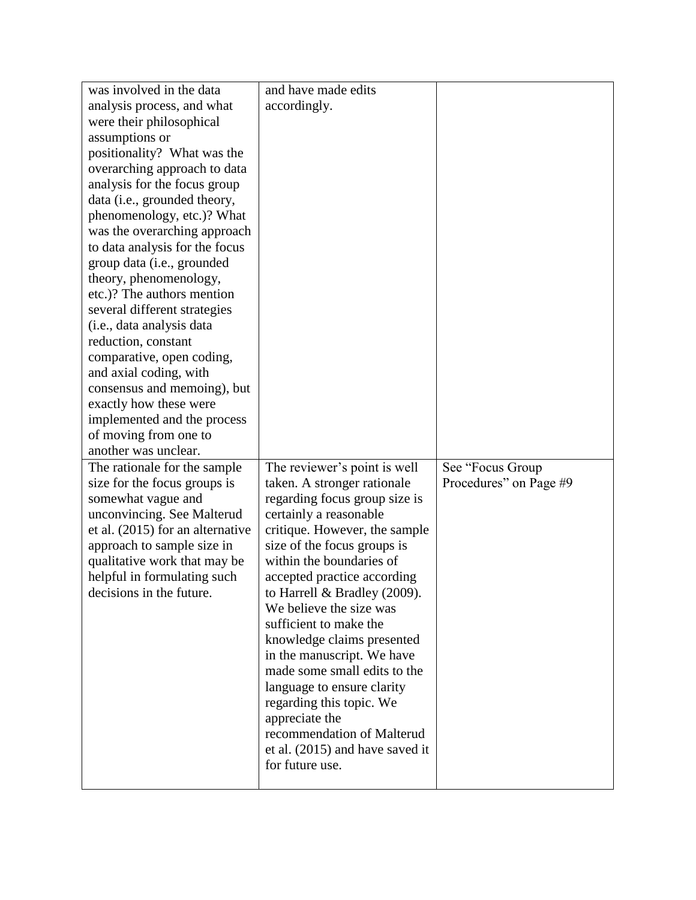| was involved in the data           | and have made edits                                |                        |
|------------------------------------|----------------------------------------------------|------------------------|
| analysis process, and what         | accordingly.                                       |                        |
| were their philosophical           |                                                    |                        |
| assumptions or                     |                                                    |                        |
| positionality? What was the        |                                                    |                        |
| overarching approach to data       |                                                    |                        |
| analysis for the focus group       |                                                    |                        |
| data (i.e., grounded theory,       |                                                    |                        |
| phenomenology, etc.)? What         |                                                    |                        |
| was the overarching approach       |                                                    |                        |
| to data analysis for the focus     |                                                    |                        |
| group data (i.e., grounded         |                                                    |                        |
| theory, phenomenology,             |                                                    |                        |
| etc.)? The authors mention         |                                                    |                        |
| several different strategies       |                                                    |                        |
| (i.e., data analysis data          |                                                    |                        |
| reduction, constant                |                                                    |                        |
| comparative, open coding,          |                                                    |                        |
| and axial coding, with             |                                                    |                        |
| consensus and memoing), but        |                                                    |                        |
| exactly how these were             |                                                    |                        |
| implemented and the process        |                                                    |                        |
| of moving from one to              |                                                    |                        |
| another was unclear.               |                                                    |                        |
| The rationale for the sample       | The reviewer's point is well                       | See "Focus Group"      |
| size for the focus groups is       | taken. A stronger rationale                        | Procedures" on Page #9 |
| somewhat vague and                 | regarding focus group size is                      |                        |
| unconvincing. See Malterud         | certainly a reasonable                             |                        |
| et al. $(2015)$ for an alternative | critique. However, the sample                      |                        |
| approach to sample size in         | size of the focus groups is                        |                        |
| qualitative work that may be       | within the boundaries of                           |                        |
| helpful in formulating such        | accepted practice according                        |                        |
| decisions in the future.           | to Harrell $\&$ Bradley (2009).                    |                        |
|                                    | We believe the size was                            |                        |
|                                    | sufficient to make the                             |                        |
|                                    | knowledge claims presented                         |                        |
|                                    | in the manuscript. We have                         |                        |
|                                    | made some small edits to the                       |                        |
|                                    | language to ensure clarity                         |                        |
|                                    | regarding this topic. We                           |                        |
|                                    | appreciate the                                     |                        |
|                                    |                                                    |                        |
|                                    |                                                    |                        |
|                                    | recommendation of Malterud                         |                        |
|                                    | et al. (2015) and have saved it<br>for future use. |                        |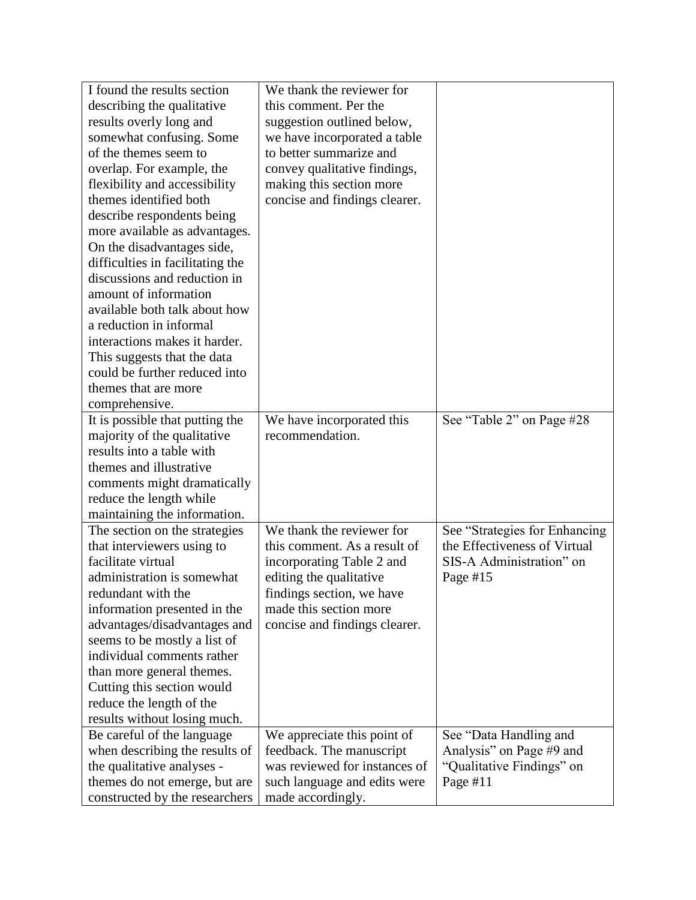| I found the results section      | We thank the reviewer for     |                                |
|----------------------------------|-------------------------------|--------------------------------|
| describing the qualitative       | this comment. Per the         |                                |
| results overly long and          | suggestion outlined below,    |                                |
| somewhat confusing. Some         | we have incorporated a table  |                                |
| of the themes seem to            | to better summarize and       |                                |
| overlap. For example, the        | convey qualitative findings,  |                                |
| flexibility and accessibility    | making this section more      |                                |
| themes identified both           | concise and findings clearer. |                                |
| describe respondents being       |                               |                                |
| more available as advantages.    |                               |                                |
| On the disadvantages side,       |                               |                                |
| difficulties in facilitating the |                               |                                |
| discussions and reduction in     |                               |                                |
| amount of information            |                               |                                |
| available both talk about how    |                               |                                |
| a reduction in informal          |                               |                                |
| interactions makes it harder.    |                               |                                |
| This suggests that the data      |                               |                                |
| could be further reduced into    |                               |                                |
| themes that are more             |                               |                                |
| comprehensive.                   |                               |                                |
| It is possible that putting the  | We have incorporated this     | See "Table 2" on Page #28      |
| majority of the qualitative      | recommendation.               |                                |
| results into a table with        |                               |                                |
| themes and illustrative          |                               |                                |
| comments might dramatically      |                               |                                |
| reduce the length while          |                               |                                |
| maintaining the information.     |                               |                                |
| The section on the strategies    | We thank the reviewer for     | See "Strategies for Enhancing" |
| that interviewers using to       | this comment. As a result of  | the Effectiveness of Virtual   |
| facilitate virtual               | incorporating Table 2 and     | SIS-A Administration" on       |
| administration is somewhat       | editing the qualitative       | Page $#15$                     |
| redundant with the               | findings section, we have     |                                |
| information presented in the     | made this section more        |                                |
| advantages/disadvantages and     | concise and findings clearer. |                                |
| seems to be mostly a list of     |                               |                                |
| individual comments rather       |                               |                                |
| than more general themes.        |                               |                                |
| Cutting this section would       |                               |                                |
| reduce the length of the         |                               |                                |
| results without losing much.     |                               |                                |
| Be careful of the language       | We appreciate this point of   | See "Data Handling and         |
| when describing the results of   | feedback. The manuscript      | Analysis" on Page #9 and       |
| the qualitative analyses -       | was reviewed for instances of | "Qualitative Findings" on      |
| themes do not emerge, but are    | such language and edits were  | Page $#11$                     |
| constructed by the researchers   | made accordingly.             |                                |